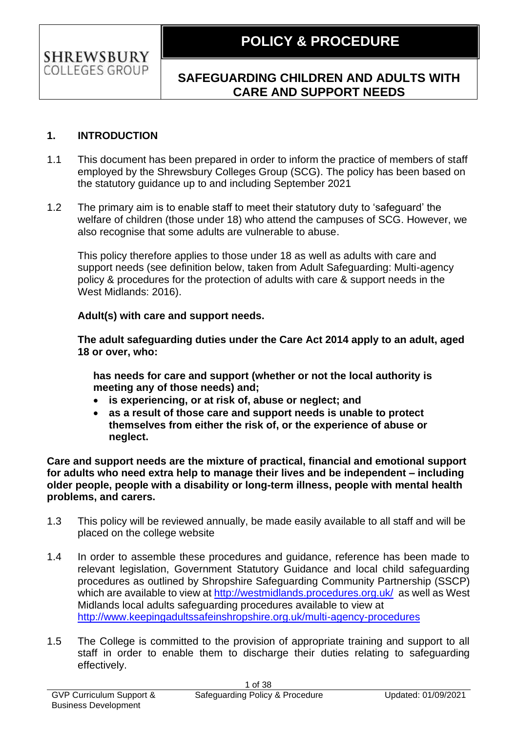#### **1. INTRODUCTION**

**SHREWSBURY** COLLEGES GROUP

- 1.1 This document has been prepared in order to inform the practice of members of staff employed by the Shrewsbury Colleges Group (SCG). The policy has been based on the statutory guidance up to and including September 2021
- 1.2 The primary aim is to enable staff to meet their statutory duty to 'safeguard' the welfare of children (those under 18) who attend the campuses of SCG. However, we also recognise that some adults are vulnerable to abuse.

This policy therefore applies to those under 18 as well as adults with care and support needs (see definition below, taken from Adult Safeguarding: Multi-agency policy & procedures for the protection of adults with care & support needs in the West Midlands: 2016).

#### **Adult(s) with care and support needs.**

**The adult safeguarding duties under the Care Act 2014 apply to an adult, aged 18 or over, who:**

**has needs for care and support (whether or not the local authority is meeting any of those needs) and;**

- **is experiencing, or at risk of, abuse or neglect; and**
- **as a result of those care and support needs is unable to protect themselves from either the risk of, or the experience of abuse or neglect.**

**Care and support needs are the mixture of practical, financial and emotional support for adults who need extra help to manage their lives and be independent – including older people, people with a disability or long-term illness, people with mental health problems, and carers.**

- 1.3 This policy will be reviewed annually, be made easily available to all staff and will be placed on the college website
- 1.4 In order to assemble these procedures and guidance, reference has been made to relevant legislation, Government Statutory Guidance and local child safeguarding procedures as outlined by Shropshire Safeguarding Community Partnership (SSCP) which are available to view at<http://westmidlands.procedures.org.uk/>as well as West Midlands local adults safeguarding procedures available to view at <http://www.keepingadultssafeinshropshire.org.uk/multi-agency-procedures>
- 1.5 The College is committed to the provision of appropriate training and support to all staff in order to enable them to discharge their duties relating to safeguarding effectively.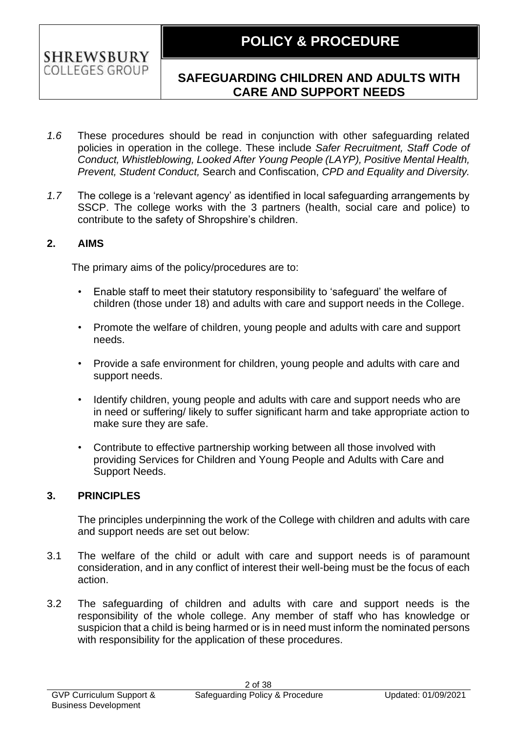

- *1.6* These procedures should be read in conjunction with other safeguarding related policies in operation in the college. These include *Safer Recruitment, Staff Code of Conduct, Whistleblowing, Looked After Young People (LAYP), Positive Mental Health, Prevent, Student Conduct,* Search and Confiscation, *CPD and Equality and Diversity.*
- *1.7* The college is a 'relevant agency' as identified in local safeguarding arrangements by SSCP. The college works with the 3 partners (health, social care and police) to contribute to the safety of Shropshire's children.

#### **2. AIMS**

**SHREWSBURY** COLLEGES GROUP

The primary aims of the policy/procedures are to:

- Enable staff to meet their statutory responsibility to 'safeguard' the welfare of children (those under 18) and adults with care and support needs in the College.
- Promote the welfare of children, young people and adults with care and support needs.
- Provide a safe environment for children, young people and adults with care and support needs.
- Identify children, young people and adults with care and support needs who are in need or suffering/ likely to suffer significant harm and take appropriate action to make sure they are safe.
- Contribute to effective partnership working between all those involved with providing Services for Children and Young People and Adults with Care and Support Needs.

#### **3. PRINCIPLES**

The principles underpinning the work of the College with children and adults with care and support needs are set out below:

- 3.1 The welfare of the child or adult with care and support needs is of paramount consideration, and in any conflict of interest their well-being must be the focus of each action.
- 3.2 The safeguarding of children and adults with care and support needs is the responsibility of the whole college. Any member of staff who has knowledge or suspicion that a child is being harmed or is in need must inform the nominated persons with responsibility for the application of these procedures.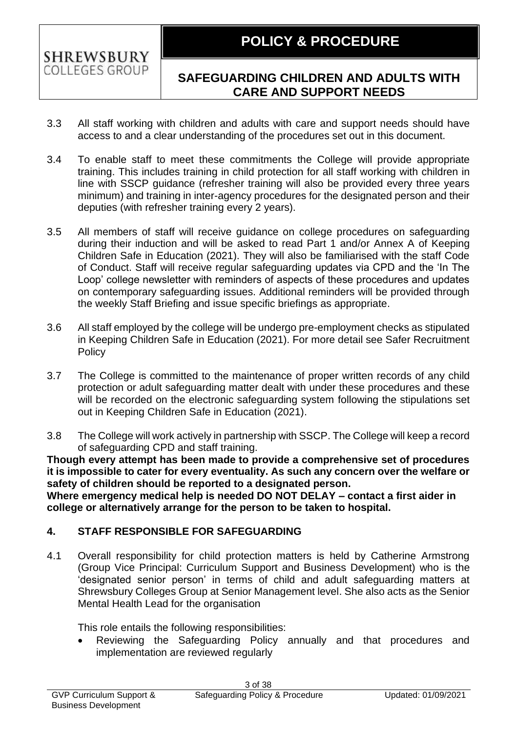- 3.3 All staff working with children and adults with care and support needs should have access to and a clear understanding of the procedures set out in this document.
- 3.4 To enable staff to meet these commitments the College will provide appropriate training. This includes training in child protection for all staff working with children in line with SSCP guidance (refresher training will also be provided every three years minimum) and training in inter-agency procedures for the designated person and their deputies (with refresher training every 2 years).
- 3.5 All members of staff will receive guidance on college procedures on safeguarding during their induction and will be asked to read Part 1 and/or Annex A of Keeping Children Safe in Education (2021). They will also be familiarised with the staff Code of Conduct. Staff will receive regular safeguarding updates via CPD and the 'In The Loop' college newsletter with reminders of aspects of these procedures and updates on contemporary safeguarding issues. Additional reminders will be provided through the weekly Staff Briefing and issue specific briefings as appropriate.
- 3.6 All staff employed by the college will be undergo pre-employment checks as stipulated in Keeping Children Safe in Education (2021). For more detail see Safer Recruitment **Policy**
- 3.7 The College is committed to the maintenance of proper written records of any child protection or adult safeguarding matter dealt with under these procedures and these will be recorded on the electronic safeguarding system following the stipulations set out in Keeping Children Safe in Education (2021).
- 3.8 The College will work actively in partnership with SSCP. The College will keep a record of safeguarding CPD and staff training.

**Though every attempt has been made to provide a comprehensive set of procedures it is impossible to cater for every eventuality. As such any concern over the welfare or safety of children should be reported to a designated person.**

**Where emergency medical help is needed DO NOT DELAY – contact a first aider in college or alternatively arrange for the person to be taken to hospital.**

### **4. STAFF RESPONSIBLE FOR SAFEGUARDING**

4.1 Overall responsibility for child protection matters is held by Catherine Armstrong (Group Vice Principal: Curriculum Support and Business Development) who is the 'designated senior person' in terms of child and adult safeguarding matters at Shrewsbury Colleges Group at Senior Management level. She also acts as the Senior Mental Health Lead for the organisation

This role entails the following responsibilities:

• Reviewing the Safeguarding Policy annually and that procedures and implementation are reviewed regularly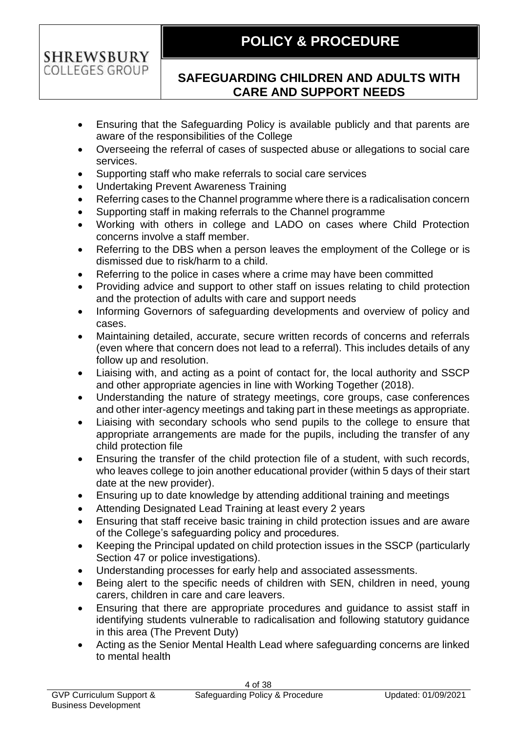- Ensuring that the Safeguarding Policy is available publicly and that parents are aware of the responsibilities of the College
- Overseeing the referral of cases of suspected abuse or allegations to social care services.
- Supporting staff who make referrals to social care services
- Undertaking Prevent Awareness Training

- Referring cases to the Channel programme where there is a radicalisation concern
- Supporting staff in making referrals to the Channel programme
- Working with others in college and LADO on cases where Child Protection concerns involve a staff member.
- Referring to the DBS when a person leaves the employment of the College or is dismissed due to risk/harm to a child.
- Referring to the police in cases where a crime may have been committed
- Providing advice and support to other staff on issues relating to child protection and the protection of adults with care and support needs
- Informing Governors of safeguarding developments and overview of policy and cases.
- Maintaining detailed, accurate, secure written records of concerns and referrals (even where that concern does not lead to a referral). This includes details of any follow up and resolution.
- Liaising with, and acting as a point of contact for, the local authority and SSCP and other appropriate agencies in line with Working Together (2018).
- Understanding the nature of strategy meetings, core groups, case conferences and other inter-agency meetings and taking part in these meetings as appropriate.
- Liaising with secondary schools who send pupils to the college to ensure that appropriate arrangements are made for the pupils, including the transfer of any child protection file
- Ensuring the transfer of the child protection file of a student, with such records, who leaves college to join another educational provider (within 5 days of their start date at the new provider).
- Ensuring up to date knowledge by attending additional training and meetings
- Attending Designated Lead Training at least every 2 years
- Ensuring that staff receive basic training in child protection issues and are aware of the College's safeguarding policy and procedures.
- Keeping the Principal updated on child protection issues in the SSCP (particularly Section 47 or police investigations).
- Understanding processes for early help and associated assessments.
- Being alert to the specific needs of children with SEN, children in need, young carers, children in care and care leavers.
- Ensuring that there are appropriate procedures and guidance to assist staff in identifying students vulnerable to radicalisation and following statutory guidance in this area (The Prevent Duty)
- Acting as the Senior Mental Health Lead where safeguarding concerns are linked to mental health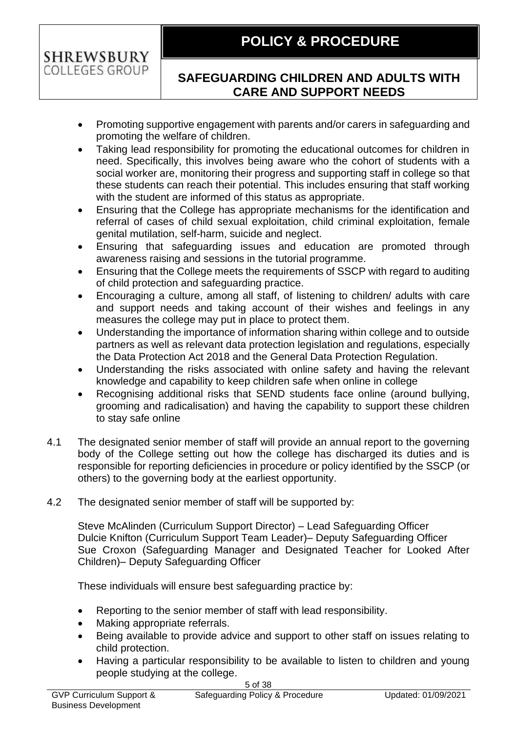- Promoting supportive engagement with parents and/or carers in safeguarding and promoting the welfare of children.
- Taking lead responsibility for promoting the educational outcomes for children in need. Specifically, this involves being aware who the cohort of students with a social worker are, monitoring their progress and supporting staff in college so that these students can reach their potential. This includes ensuring that staff working with the student are informed of this status as appropriate.
- Ensuring that the College has appropriate mechanisms for the identification and referral of cases of child sexual exploitation, child criminal exploitation, female genital mutilation, self-harm, suicide and neglect.
- Ensuring that safeguarding issues and education are promoted through awareness raising and sessions in the tutorial programme.
- Ensuring that the College meets the requirements of SSCP with regard to auditing of child protection and safeguarding practice.
- Encouraging a culture, among all staff, of listening to children/ adults with care and support needs and taking account of their wishes and feelings in any measures the college may put in place to protect them.
- Understanding the importance of information sharing within college and to outside partners as well as relevant data protection legislation and regulations, especially the Data Protection Act 2018 and the General Data Protection Regulation.
- Understanding the risks associated with online safety and having the relevant knowledge and capability to keep children safe when online in college
- Recognising additional risks that SEND students face online (around bullying, grooming and radicalisation) and having the capability to support these children to stay safe online
- 4.1 The designated senior member of staff will provide an annual report to the governing body of the College setting out how the college has discharged its duties and is responsible for reporting deficiencies in procedure or policy identified by the SSCP (or others) to the governing body at the earliest opportunity.
- 4.2 The designated senior member of staff will be supported by:

Steve McAlinden (Curriculum Support Director) – Lead Safeguarding Officer Dulcie Knifton (Curriculum Support Team Leader)– Deputy Safeguarding Officer Sue Croxon (Safeguarding Manager and Designated Teacher for Looked After Children)– Deputy Safeguarding Officer

These individuals will ensure best safeguarding practice by:

- Reporting to the senior member of staff with lead responsibility.
- Making appropriate referrals.
- Being available to provide advice and support to other staff on issues relating to child protection.
- Having a particular responsibility to be available to listen to children and young people studying at the college.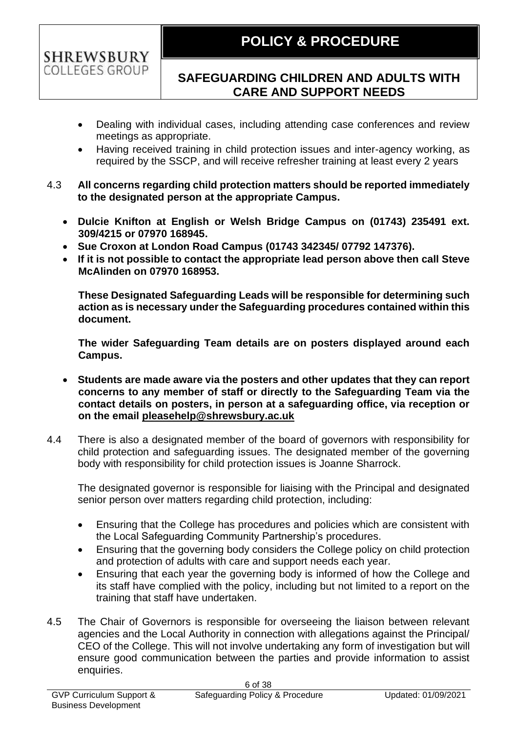- Dealing with individual cases, including attending case conferences and review meetings as appropriate.
- Having received training in child protection issues and inter-agency working, as required by the SSCP, and will receive refresher training at least every 2 years
- 4.3 **All concerns regarding child protection matters should be reported immediately to the designated person at the appropriate Campus.** 
	- **Dulcie Knifton at English or Welsh Bridge Campus on (01743) 235491 ext. 309/4215 or 07970 168945.**
	- **Sue Croxon at London Road Campus (01743 342345/ 07792 147376).**
	- **If it is not possible to contact the appropriate lead person above then call Steve McAlinden on 07970 168953.**

**These Designated Safeguarding Leads will be responsible for determining such action as is necessary under the Safeguarding procedures contained within this document.** 

**The wider Safeguarding Team details are on posters displayed around each Campus.**

- **Students are made aware via the posters and other updates that they can report concerns to any member of staff or directly to the Safeguarding Team via the contact details on posters, in person at a safeguarding office, via reception or on the email [pleasehelp@shrewsbury.ac.uk](mailto:pleasehelp@shrewsbury.ac.uk)**
- 4.4 There is also a designated member of the board of governors with responsibility for child protection and safeguarding issues. The designated member of the governing body with responsibility for child protection issues is Joanne Sharrock.

The designated governor is responsible for liaising with the Principal and designated senior person over matters regarding child protection, including:

- Ensuring that the College has procedures and policies which are consistent with the Local Safeguarding Community Partnership's procedures.
- Ensuring that the governing body considers the College policy on child protection and protection of adults with care and support needs each year.
- Ensuring that each year the governing body is informed of how the College and its staff have complied with the policy, including but not limited to a report on the training that staff have undertaken.
- 4.5 The Chair of Governors is responsible for overseeing the liaison between relevant agencies and the Local Authority in connection with allegations against the Principal/ CEO of the College. This will not involve undertaking any form of investigation but will ensure good communication between the parties and provide information to assist enquiries.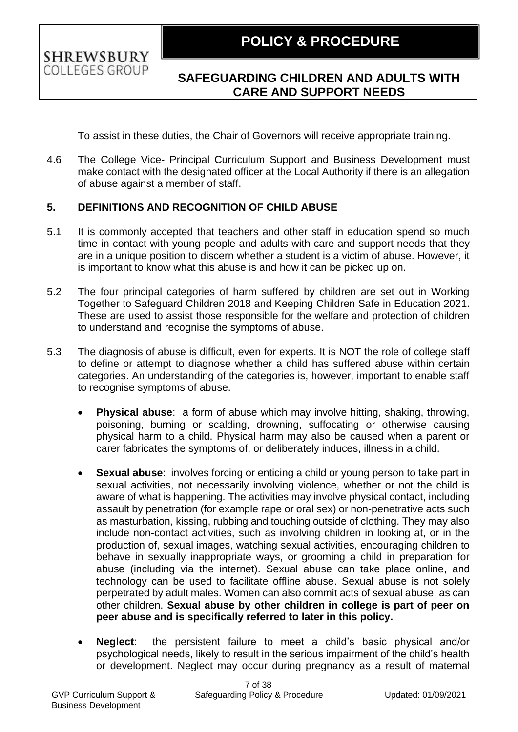To assist in these duties, the Chair of Governors will receive appropriate training.

4.6 The College Vice- Principal Curriculum Support and Business Development must make contact with the designated officer at the Local Authority if there is an allegation of abuse against a member of staff.

### **5. DEFINITIONS AND RECOGNITION OF CHILD ABUSE**

- 5.1 It is commonly accepted that teachers and other staff in education spend so much time in contact with young people and adults with care and support needs that they are in a unique position to discern whether a student is a victim of abuse. However, it is important to know what this abuse is and how it can be picked up on.
- 5.2 The four principal categories of harm suffered by children are set out in Working Together to Safeguard Children 2018 and Keeping Children Safe in Education 2021. These are used to assist those responsible for the welfare and protection of children to understand and recognise the symptoms of abuse.
- 5.3 The diagnosis of abuse is difficult, even for experts. It is NOT the role of college staff to define or attempt to diagnose whether a child has suffered abuse within certain categories. An understanding of the categories is, however, important to enable staff to recognise symptoms of abuse.
	- **Physical abuse**:a form of abuse which may involve hitting, shaking, throwing, poisoning, burning or scalding, drowning, suffocating or otherwise causing physical harm to a child. Physical harm may also be caused when a parent or carer fabricates the symptoms of, or deliberately induces, illness in a child.
	- **Sexual abuse**: involves forcing or enticing a child or young person to take part in sexual activities, not necessarily involving violence, whether or not the child is aware of what is happening. The activities may involve physical contact, including assault by penetration (for example rape or oral sex) or non-penetrative acts such as masturbation, kissing, rubbing and touching outside of clothing. They may also include non-contact activities, such as involving children in looking at, or in the production of, sexual images, watching sexual activities, encouraging children to behave in sexually inappropriate ways, or grooming a child in preparation for abuse (including via the internet). Sexual abuse can take place online, and technology can be used to facilitate offline abuse. Sexual abuse is not solely perpetrated by adult males. Women can also commit acts of sexual abuse, as can other children. **Sexual abuse by other children in college is part of peer on peer abuse and is specifically referred to later in this policy.**
	- **Neglect**: the persistent failure to meet a child's basic physical and/or psychological needs, likely to result in the serious impairment of the child's health or development. Neglect may occur during pregnancy as a result of maternal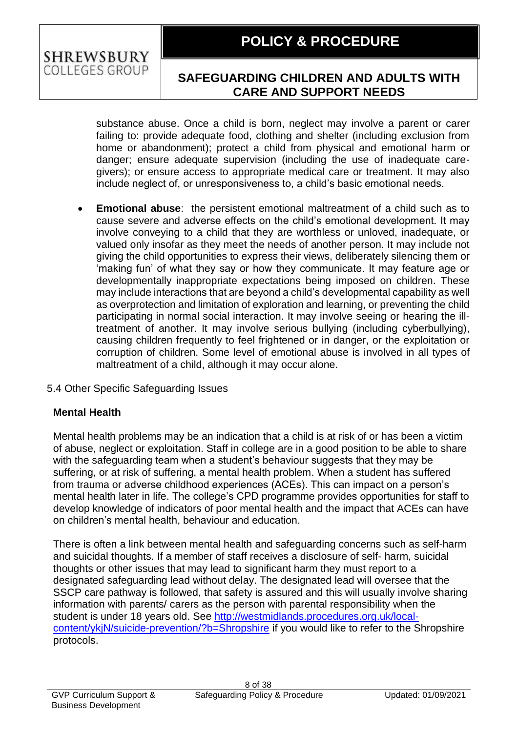substance abuse. Once a child is born, neglect may involve a parent or carer failing to: provide adequate food, clothing and shelter (including exclusion from home or abandonment); protect a child from physical and emotional harm or danger; ensure adequate supervision (including the use of inadequate caregivers); or ensure access to appropriate medical care or treatment. It may also include neglect of, or unresponsiveness to, a child's basic emotional needs.

• **Emotional abuse**: the persistent emotional maltreatment of a child such as to cause severe and adverse effects on the child's emotional development. It may involve conveying to a child that they are worthless or unloved, inadequate, or valued only insofar as they meet the needs of another person. It may include not giving the child opportunities to express their views, deliberately silencing them or 'making fun' of what they say or how they communicate. It may feature age or developmentally inappropriate expectations being imposed on children. These may include interactions that are beyond a child's developmental capability as well as overprotection and limitation of exploration and learning, or preventing the child participating in normal social interaction. It may involve seeing or hearing the illtreatment of another. It may involve serious bullying (including cyberbullying), causing children frequently to feel frightened or in danger, or the exploitation or corruption of children. Some level of emotional abuse is involved in all types of maltreatment of a child, although it may occur alone.

### 5.4 Other Specific Safeguarding Issues

### **Mental Health**

**SHREWSBURY** COLLEGES GROUP

Mental health problems may be an indication that a child is at risk of or has been a victim of abuse, neglect or exploitation. Staff in college are in a good position to be able to share with the safeguarding team when a student's behaviour suggests that they may be suffering, or at risk of suffering, a mental health problem. When a student has suffered from trauma or adverse childhood experiences (ACEs). This can impact on a person's mental health later in life. The college's CPD programme provides opportunities for staff to develop knowledge of indicators of poor mental health and the impact that ACEs can have on children's mental health, behaviour and education.

There is often a link between mental health and safeguarding concerns such as self-harm and suicidal thoughts. If a member of staff receives a disclosure of self- harm, suicidal thoughts or other issues that may lead to significant harm they must report to a designated safeguarding lead without delay. The designated lead will oversee that the SSCP care pathway is followed, that safety is assured and this will usually involve sharing information with parents/ carers as the person with parental responsibility when the student is under 18 years old. See [http://westmidlands.procedures.org.uk/local](http://westmidlands.procedures.org.uk/local-content/ykjN/suicide-prevention/?b=Shropshire)[content/ykjN/suicide-prevention/?b=Shropshire](http://westmidlands.procedures.org.uk/local-content/ykjN/suicide-prevention/?b=Shropshire) if you would like to refer to the Shropshire protocols.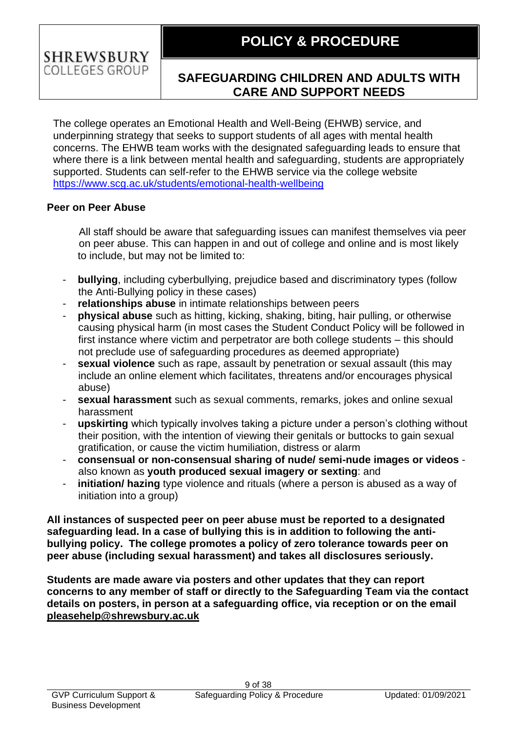The college operates an Emotional Health and Well-Being (EHWB) service, and underpinning strategy that seeks to support students of all ages with mental health concerns. The EHWB team works with the designated safeguarding leads to ensure that where there is a link between mental health and safeguarding, students are appropriately supported. Students can self-refer to the EHWB service via the college website <https://www.scg.ac.uk/students/emotional-health-wellbeing>

#### **Peer on Peer Abuse**

**SHREWSBURY** COLLEGES GROUP

> All staff should be aware that safeguarding issues can manifest themselves via peer on peer abuse. This can happen in and out of college and online and is most likely to include, but may not be limited to:

- **bullying**, including cyberbullying, prejudice based and discriminatory types (follow the Anti-Bullying policy in these cases)
- relationships abuse in intimate relationships between peers
- **physical abuse** such as hitting, kicking, shaking, biting, hair pulling, or otherwise causing physical harm (in most cases the Student Conduct Policy will be followed in first instance where victim and perpetrator are both college students – this should not preclude use of safeguarding procedures as deemed appropriate)
- **sexual violence** such as rape, assault by penetration or sexual assault (this may include an online element which facilitates, threatens and/or encourages physical abuse)
- sexual harassment such as sexual comments, remarks, jokes and online sexual harassment
- **upskirting** which typically involves taking a picture under a person's clothing without their position, with the intention of viewing their genitals or buttocks to gain sexual gratification, or cause the victim humiliation, distress or alarm
- **consensual or non-consensual sharing of nude/ semi-nude images or videos** also known as **youth produced sexual imagery or sexting**: and
- initiation/ hazing type violence and rituals (where a person is abused as a way of initiation into a group)

**All instances of suspected peer on peer abuse must be reported to a designated safeguarding lead. In a case of bullying this is in addition to following the antibullying policy. The college promotes a policy of zero tolerance towards peer on peer abuse (including sexual harassment) and takes all disclosures seriously.** 

**Students are made aware via posters and other updates that they can report concerns to any member of staff or directly to the Safeguarding Team via the contact details on posters, in person at a safeguarding office, via reception or on the email [pleasehelp@shrewsbury.ac.uk](mailto:pleasehelp@shrewsbury.ac.uk)**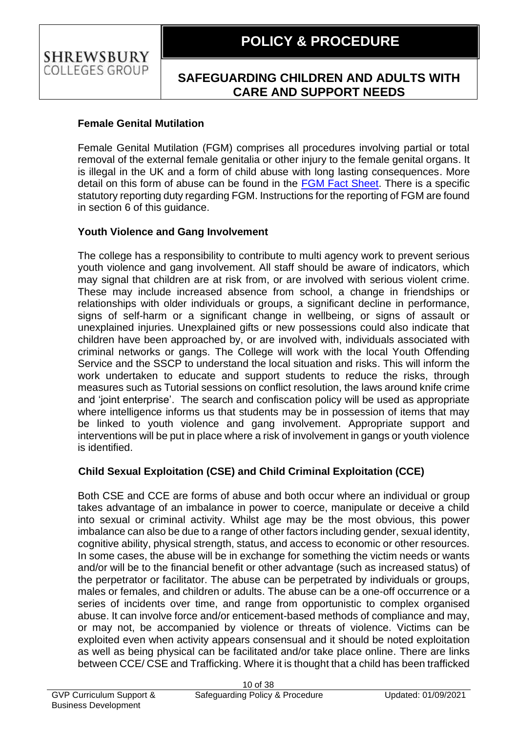#### **Female Genital Mutilation**

**SHREWSBURY** COLLEGES GROUP

> Female Genital Mutilation (FGM) comprises all procedures involving partial or total removal of the external female genitalia or other injury to the female genital organs. It is illegal in the UK and a form of child abuse with long lasting consequences. More detail on this form of abuse can be found in the [FGM Fact](https://www.gov.uk/government/uploads/system/uploads/attachment_data/file/482799/6_1587_HO_MT_Updates_to_the_FGM_The_Facts_WEB.pdf) Sheet. There is a specific statutory reporting duty regarding FGM. Instructions for the reporting of FGM are found in section 6 of this guidance.

#### **Youth Violence and Gang Involvement**

The college has a responsibility to contribute to multi agency work to prevent serious youth violence and gang involvement. All staff should be aware of indicators, which may signal that children are at risk from, or are involved with serious violent crime. These may include increased absence from school, a change in friendships or relationships with older individuals or groups, a significant decline in performance, signs of self-harm or a significant change in wellbeing, or signs of assault or unexplained injuries. Unexplained gifts or new possessions could also indicate that children have been approached by, or are involved with, individuals associated with criminal networks or gangs. The College will work with the local Youth Offending Service and the SSCP to understand the local situation and risks. This will inform the work undertaken to educate and support students to reduce the risks, through measures such as Tutorial sessions on conflict resolution, the laws around knife crime and 'joint enterprise'. The search and confiscation policy will be used as appropriate where intelligence informs us that students may be in possession of items that may be linked to youth violence and gang involvement. Appropriate support and interventions will be put in place where a risk of involvement in gangs or youth violence is identified.

### **Child Sexual Exploitation (CSE) and Child Criminal Exploitation (CCE)**

Both CSE and CCE are forms of abuse and both occur where an individual or group takes advantage of an imbalance in power to coerce, manipulate or deceive a child into sexual or criminal activity. Whilst age may be the most obvious, this power imbalance can also be due to a range of other factors including gender, sexual identity, cognitive ability, physical strength, status, and access to economic or other resources. In some cases, the abuse will be in exchange for something the victim needs or wants and/or will be to the financial benefit or other advantage (such as increased status) of the perpetrator or facilitator. The abuse can be perpetrated by individuals or groups, males or females, and children or adults. The abuse can be a one-off occurrence or a series of incidents over time, and range from opportunistic to complex organised abuse. It can involve force and/or enticement-based methods of compliance and may, or may not, be accompanied by violence or threats of violence. Victims can be exploited even when activity appears consensual and it should be noted exploitation as well as being physical can be facilitated and/or take place online. There are links between CCE/ CSE and Trafficking. Where it is thought that a child has been trafficked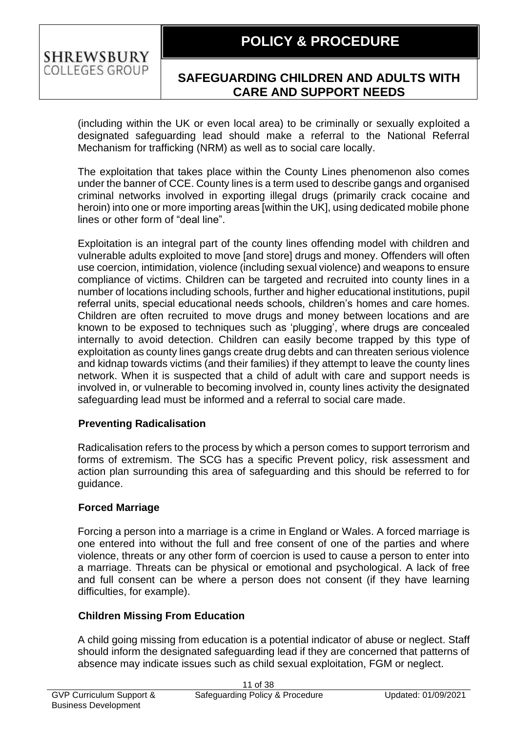(including within the UK or even local area) to be criminally or sexually exploited a designated safeguarding lead should make a referral to the National Referral Mechanism for trafficking (NRM) as well as to social care locally.

The exploitation that takes place within the County Lines phenomenon also comes under the banner of CCE. County lines is a term used to describe gangs and organised criminal networks involved in exporting illegal drugs (primarily crack cocaine and heroin) into one or more importing areas [within the UK], using dedicated mobile phone lines or other form of "deal line".

Exploitation is an integral part of the county lines offending model with children and vulnerable adults exploited to move [and store] drugs and money. Offenders will often use coercion, intimidation, violence (including sexual violence) and weapons to ensure compliance of victims. Children can be targeted and recruited into county lines in a number of locations including schools, further and higher educational institutions, pupil referral units, special educational needs schools, children's homes and care homes. Children are often recruited to move drugs and money between locations and are known to be exposed to techniques such as 'plugging', where drugs are concealed internally to avoid detection. Children can easily become trapped by this type of exploitation as county lines gangs create drug debts and can threaten serious violence and kidnap towards victims (and their families) if they attempt to leave the county lines network. When it is suspected that a child of adult with care and support needs is involved in, or vulnerable to becoming involved in, county lines activity the designated safeguarding lead must be informed and a referral to social care made.

### **Preventing Radicalisation**

Radicalisation refers to the process by which a person comes to support terrorism and forms of extremism. The SCG has a specific Prevent policy, risk assessment and action plan surrounding this area of safeguarding and this should be referred to for guidance.

### **Forced Marriage**

**SHREWSBURY** COLLEGES GROUP

> Forcing a person into a marriage is a crime in England or Wales. A forced marriage is one entered into without the full and free consent of one of the parties and where violence, threats or any other form of coercion is used to cause a person to enter into a marriage. Threats can be physical or emotional and psychological. A lack of free and full consent can be where a person does not consent (if they have learning difficulties, for example).

### **Children Missing From Education**

A child going missing from education is a potential indicator of abuse or neglect. Staff should inform the designated safeguarding lead if they are concerned that patterns of absence may indicate issues such as child sexual exploitation, FGM or neglect.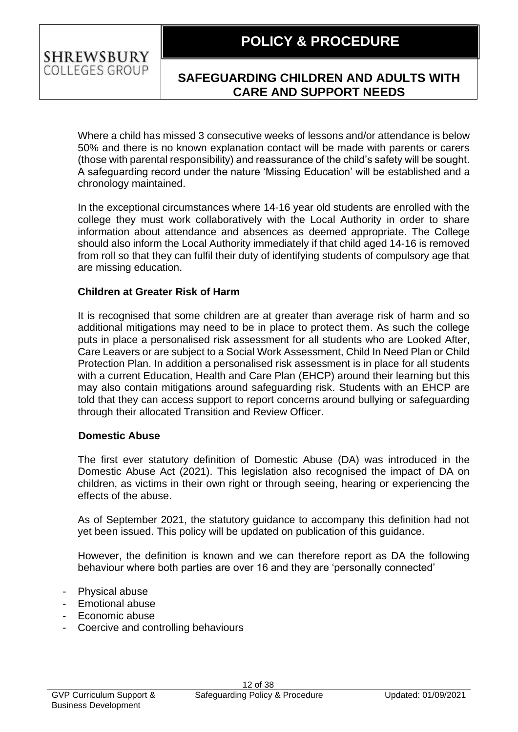Where a child has missed 3 consecutive weeks of lessons and/or attendance is below 50% and there is no known explanation contact will be made with parents or carers (those with parental responsibility) and reassurance of the child's safety will be sought. A safeguarding record under the nature 'Missing Education' will be established and a chronology maintained.

In the exceptional circumstances where 14-16 year old students are enrolled with the college they must work collaboratively with the Local Authority in order to share information about attendance and absences as deemed appropriate. The College should also inform the Local Authority immediately if that child aged 14-16 is removed from roll so that they can fulfil their duty of identifying students of compulsory age that are missing education.

#### **Children at Greater Risk of Harm**

It is recognised that some children are at greater than average risk of harm and so additional mitigations may need to be in place to protect them. As such the college puts in place a personalised risk assessment for all students who are Looked After, Care Leavers or are subject to a Social Work Assessment, Child In Need Plan or Child Protection Plan. In addition a personalised risk assessment is in place for all students with a current Education, Health and Care Plan (EHCP) around their learning but this may also contain mitigations around safeguarding risk. Students with an EHCP are told that they can access support to report concerns around bullying or safeguarding through their allocated Transition and Review Officer.

#### **Domestic Abuse**

**SHREWSBURY** COLLEGES GROUP

> The first ever statutory definition of Domestic Abuse (DA) was introduced in the Domestic Abuse Act (2021). This legislation also recognised the impact of DA on children, as victims in their own right or through seeing, hearing or experiencing the effects of the abuse.

> As of September 2021, the statutory guidance to accompany this definition had not yet been issued. This policy will be updated on publication of this guidance.

> However, the definition is known and we can therefore report as DA the following behaviour where both parties are over 16 and they are 'personally connected'

- Physical abuse
- Emotional abuse
- Economic abuse
- Coercive and controlling behaviours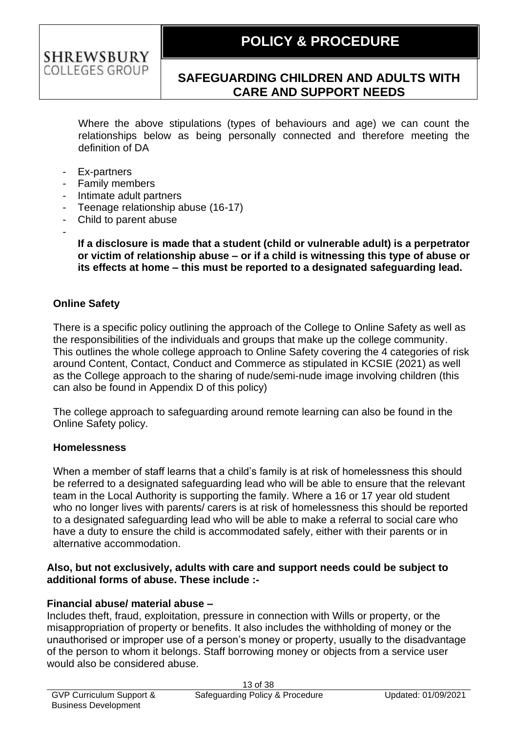Where the above stipulations (types of behaviours and age) we can count the relationships below as being personally connected and therefore meeting the definition of DA

- Ex-partners

**SHREWSBURY** COLLEGES GROUP

- Family members
- Intimate adult partners
- Teenage relationship abuse (16-17)
- Child to parent abuse
- -

**If a disclosure is made that a student (child or vulnerable adult) is a perpetrator or victim of relationship abuse – or if a child is witnessing this type of abuse or its effects at home – this must be reported to a designated safeguarding lead.**

#### **Online Safety**

There is a specific policy outlining the approach of the College to Online Safety as well as the responsibilities of the individuals and groups that make up the college community. This outlines the whole college approach to Online Safety covering the 4 categories of risk around Content, Contact, Conduct and Commerce as stipulated in KCSIE (2021) as well as the College approach to the sharing of nude/semi-nude image involving children (this can also be found in Appendix D of this policy)

The college approach to safeguarding around remote learning can also be found in the Online Safety policy.

#### **Homelessness**

When a member of staff learns that a child's family is at risk of homelessness this should be referred to a designated safeguarding lead who will be able to ensure that the relevant team in the Local Authority is supporting the family. Where a 16 or 17 year old student who no longer lives with parents/ carers is at risk of homelessness this should be reported to a designated safeguarding lead who will be able to make a referral to social care who have a duty to ensure the child is accommodated safely, either with their parents or in alternative accommodation.

#### **Also, but not exclusively, adults with care and support needs could be subject to additional forms of abuse. These include :-**

#### **Financial abuse/ material abuse –**

Includes theft, fraud, exploitation, pressure in connection with Wills or property, or the misappropriation of property or benefits. It also includes the withholding of money or the unauthorised or improper use of a person's money or property, usually to the disadvantage of the person to whom it belongs. Staff borrowing money or objects from a service user would also be considered abuse.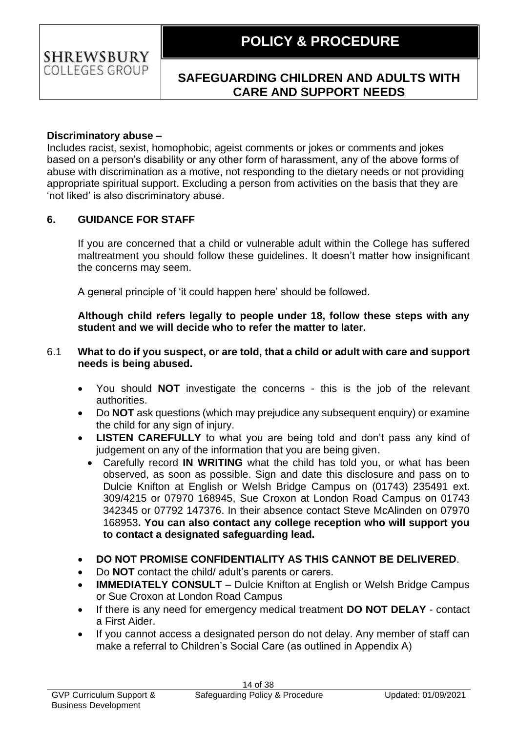#### **Discriminatory abuse –**

**SHREWSBURY** COLLEGES GROUP

Includes racist, sexist, homophobic, ageist comments or jokes or comments and jokes based on a person's disability or any other form of harassment, any of the above forms of abuse with discrimination as a motive, not responding to the dietary needs or not providing appropriate spiritual support. Excluding a person from activities on the basis that they are 'not liked' is also discriminatory abuse.

#### **6. GUIDANCE FOR STAFF**

If you are concerned that a child or vulnerable adult within the College has suffered maltreatment you should follow these guidelines. It doesn't matter how insignificant the concerns may seem.

A general principle of 'it could happen here' should be followed.

**Although child refers legally to people under 18, follow these steps with any student and we will decide who to refer the matter to later.**

#### 6.1 **What to do if you suspect, or are told, that a child or adult with care and support needs is being abused.**

- You should **NOT** investigate the concerns this is the job of the relevant authorities.
- Do **NOT** ask questions (which may prejudice any subsequent enquiry) or examine the child for any sign of injury.
- **LISTEN CAREFULLY** to what you are being told and don't pass any kind of judgement on any of the information that you are being given.
	- Carefully record **IN WRITING** what the child has told you, or what has been observed, as soon as possible. Sign and date this disclosure and pass on to Dulcie Knifton at English or Welsh Bridge Campus on (01743) 235491 ext. 309/4215 or 07970 168945, Sue Croxon at London Road Campus on 01743 342345 or 07792 147376. In their absence contact Steve McAlinden on 07970 168953**. You can also contact any college reception who will support you to contact a designated safeguarding lead.**
- **DO NOT PROMISE CONFIDENTIALITY AS THIS CANNOT BE DELIVERED**.
- Do **NOT** contact the child/ adult's parents or carers.
- **IMMEDIATELY CONSULT** Dulcie Knifton at English or Welsh Bridge Campus or Sue Croxon at London Road Campus
- If there is any need for emergency medical treatment **DO NOT DELAY** contact a First Aider.
- If you cannot access a designated person do not delay. Any member of staff can make a referral to Children's Social Care (as outlined in Appendix A)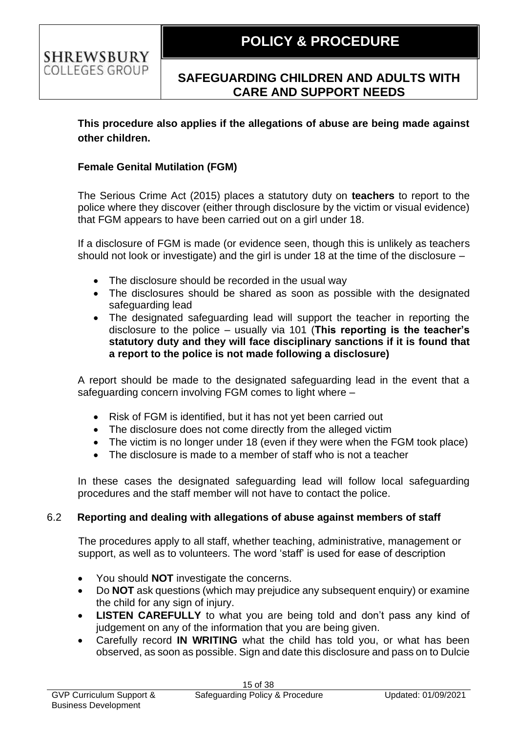# **SHREWSBURY** COLLEGES GROUP

### **SAFEGUARDING CHILDREN AND ADULTS WITH CARE AND SUPPORT NEEDS**

**This procedure also applies if the allegations of abuse are being made against other children.**

### **Female Genital Mutilation (FGM)**

The Serious Crime Act (2015) places a statutory duty on **teachers** to report to the police where they discover (either through disclosure by the victim or visual evidence) that FGM appears to have been carried out on a girl under 18.

If a disclosure of FGM is made (or evidence seen, though this is unlikely as teachers should not look or investigate) and the girl is under 18 at the time of the disclosure –

- The disclosure should be recorded in the usual way
- The disclosures should be shared as soon as possible with the designated safeguarding lead
- The designated safeguarding lead will support the teacher in reporting the disclosure to the police – usually via 101 (**This reporting is the teacher's statutory duty and they will face disciplinary sanctions if it is found that a report to the police is not made following a disclosure)**

A report should be made to the designated safeguarding lead in the event that a safeguarding concern involving FGM comes to light where –

- Risk of FGM is identified, but it has not yet been carried out
- The disclosure does not come directly from the alleged victim
- The victim is no longer under 18 (even if they were when the FGM took place)
- The disclosure is made to a member of staff who is not a teacher

In these cases the designated safeguarding lead will follow local safeguarding procedures and the staff member will not have to contact the police.

### 6.2 **Reporting and dealing with allegations of abuse against members of staff**

The procedures apply to all staff, whether teaching, administrative, management or support, as well as to volunteers. The word 'staff' is used for ease of description

- You should **NOT** investigate the concerns.
- Do **NOT** ask questions (which may prejudice any subsequent enquiry) or examine the child for any sign of injury.
- **LISTEN CAREFULLY** to what you are being told and don't pass any kind of judgement on any of the information that you are being given.
- Carefully record **IN WRITING** what the child has told you, or what has been observed, as soon as possible. Sign and date this disclosure and pass on to Dulcie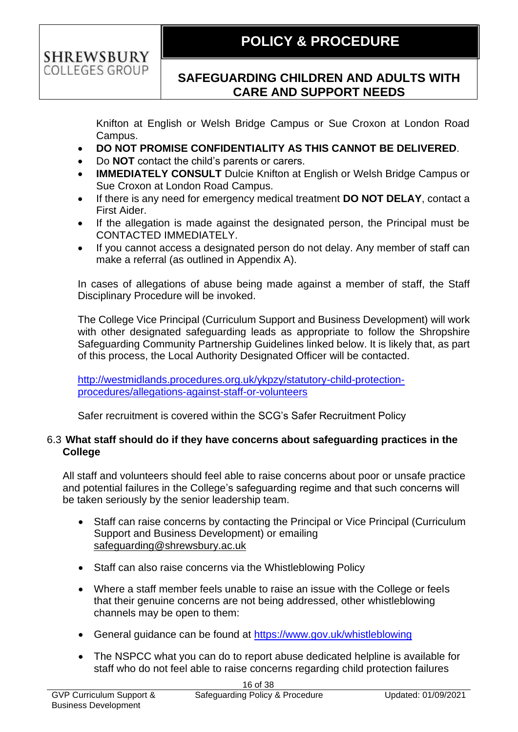Knifton at English or Welsh Bridge Campus or Sue Croxon at London Road Campus.

- **DO NOT PROMISE CONFIDENTIALITY AS THIS CANNOT BE DELIVERED**.
- Do **NOT** contact the child's parents or carers.

**SHREWSBURY** COLLEGES GROUP

- **IMMEDIATELY CONSULT** Dulcie Knifton at English or Welsh Bridge Campus or Sue Croxon at London Road Campus.
- If there is any need for emergency medical treatment **DO NOT DELAY**, contact a First Aider.
- If the allegation is made against the designated person, the Principal must be CONTACTED IMMEDIATELY.
- If you cannot access a designated person do not delay. Any member of staff can make a referral (as outlined in Appendix A).

In cases of allegations of abuse being made against a member of staff, the Staff Disciplinary Procedure will be invoked.

The College Vice Principal (Curriculum Support and Business Development) will work with other designated safeguarding leads as appropriate to follow the Shropshire Safeguarding Community Partnership Guidelines linked below. It is likely that, as part of this process, the Local Authority Designated Officer will be contacted.

[http://westmidlands.procedures.org.uk/ykpzy/statutory-child-protection](http://westmidlands.procedures.org.uk/ykpzy/statutory-child-protection-procedures/allegations-against-staff-or-volunteers)[procedures/allegations-against-staff-or-volunteers](http://westmidlands.procedures.org.uk/ykpzy/statutory-child-protection-procedures/allegations-against-staff-or-volunteers)

Safer recruitment is covered within the SCG's Safer Recruitment Policy

#### 6.3 **What staff should do if they have concerns about safeguarding practices in the College**

All staff and volunteers should feel able to raise concerns about poor or unsafe practice and potential failures in the College's safeguarding regime and that such concerns will be taken seriously by the senior leadership team.

- Staff can raise concerns by contacting the Principal or Vice Principal (Curriculum Support and Business Development) or emailing [safeguarding@shrewsbury.ac.uk](mailto:safeguarding@shrewsbury.ac.uk)
- Staff can also raise concerns via the Whistleblowing Policy
- Where a staff member feels unable to raise an issue with the College or feels that their genuine concerns are not being addressed, other whistleblowing channels may be open to them:
- General guidance can be found at<https://www.gov.uk/whistleblowing>
- The NSPCC what you can do to report abuse dedicated helpline is available for staff who do not feel able to raise concerns regarding child protection failures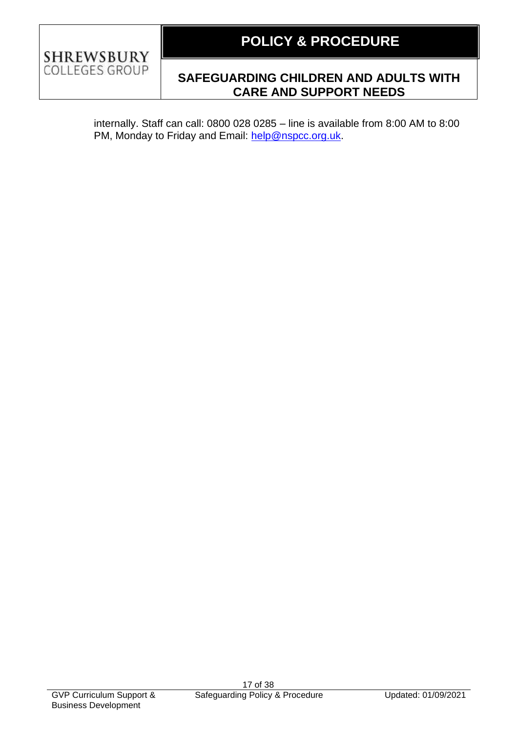

internally. Staff can call: 0800 028 0285 – line is available from 8:00 AM to 8:00 PM, Monday to Friday and Email: [help@nspcc.org.uk.](mailto:help@nspcc.org.uk)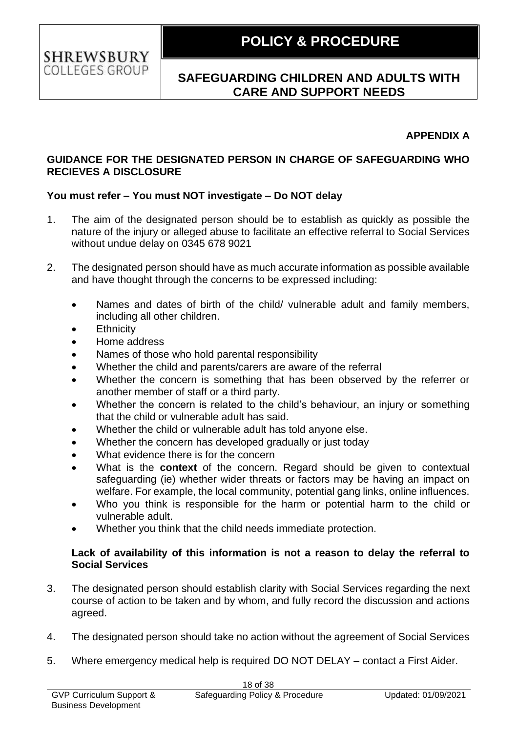### **APPENDIX A**

#### **GUIDANCE FOR THE DESIGNATED PERSON IN CHARGE OF SAFEGUARDING WHO RECIEVES A DISCLOSURE**

### **You must refer – You must NOT investigate – Do NOT delay**

- 1. The aim of the designated person should be to establish as quickly as possible the nature of the injury or alleged abuse to facilitate an effective referral to Social Services without undue delay on 0345 678 9021
- 2. The designated person should have as much accurate information as possible available and have thought through the concerns to be expressed including:
	- Names and dates of birth of the child/ vulnerable adult and family members, including all other children.
	- **Ethnicity**

**SHREWSBURY** COLLEGES GROUP

- Home address
- Names of those who hold parental responsibility
- Whether the child and parents/carers are aware of the referral
- Whether the concern is something that has been observed by the referrer or another member of staff or a third party.
- Whether the concern is related to the child's behaviour, an injury or something that the child or vulnerable adult has said.
- Whether the child or vulnerable adult has told anyone else.
- Whether the concern has developed gradually or just today
- What evidence there is for the concern
- What is the **context** of the concern. Regard should be given to contextual safeguarding (ie) whether wider threats or factors may be having an impact on welfare. For example, the local community, potential gang links, online influences.
- Who you think is responsible for the harm or potential harm to the child or vulnerable adult.
- Whether you think that the child needs immediate protection.

#### **Lack of availability of this information is not a reason to delay the referral to Social Services**

- 3. The designated person should establish clarity with Social Services regarding the next course of action to be taken and by whom, and fully record the discussion and actions agreed.
- 4. The designated person should take no action without the agreement of Social Services
- 5. Where emergency medical help is required DO NOT DELAY contact a First Aider.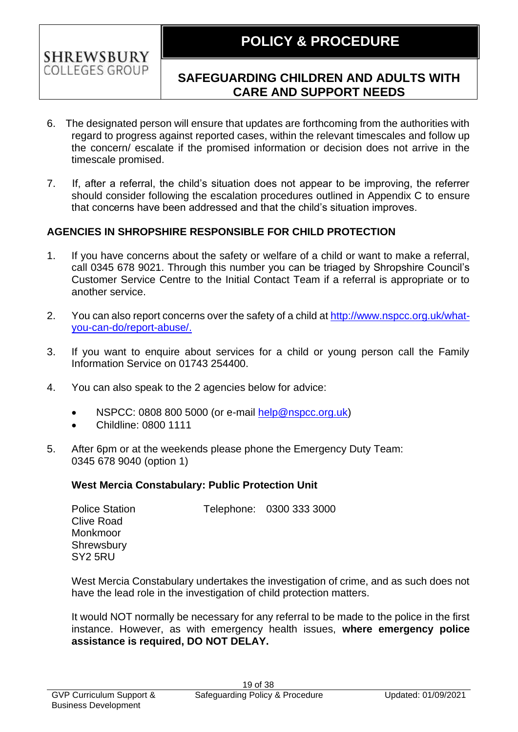- 6. The designated person will ensure that updates are forthcoming from the authorities with regard to progress against reported cases, within the relevant timescales and follow up the concern/ escalate if the promised information or decision does not arrive in the timescale promised.
- 7. If, after a referral, the child's situation does not appear to be improving, the referrer should consider following the escalation procedures outlined in Appendix C to ensure that concerns have been addressed and that the child's situation improves.

### **AGENCIES IN SHROPSHIRE RESPONSIBLE FOR CHILD PROTECTION**

- 1. If you have concerns about the safety or welfare of a child or want to make a referral, call 0345 678 9021. Through this number you can be triaged by Shropshire Council's Customer Service Centre to the Initial Contact Team if a referral is appropriate or to another service.
- 2. You can also report concerns over the safety of a child at [http://www.nspcc.org.uk/what](http://www.nspcc.org.uk/what-you-can-do/report-abuse/)[you-can-do/report-abuse/.](http://www.nspcc.org.uk/what-you-can-do/report-abuse/)
- 3. If you want to enquire about services for a child or young person call the Family Information Service on 01743 254400.
- 4. You can also speak to the 2 agencies below for advice:
	- NSPCC: 0808 800 5000 (or e-mail [help@nspcc.org.uk\)](mailto:help@nspcc.org.uk)
	- Childline: 0800 1111

**SHREWSBURY** COLLEGES GROUP

5. After 6pm or at the weekends please phone the Emergency Duty Team: 0345 678 9040 (option 1)

### **West Mercia Constabulary: Public Protection Unit**

| Telephone: 0300 333 3000 |
|--------------------------|
|                          |
|                          |
|                          |
|                          |
|                          |

West Mercia Constabulary undertakes the investigation of crime, and as such does not have the lead role in the investigation of child protection matters.

It would NOT normally be necessary for any referral to be made to the police in the first instance. However, as with emergency health issues, **where emergency police assistance is required, DO NOT DELAY.**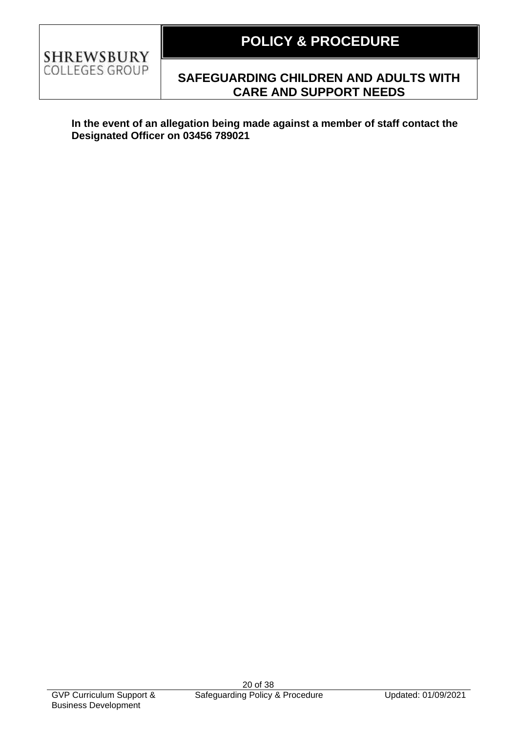

**In the event of an allegation being made against a member of staff contact the Designated Officer on 03456 789021**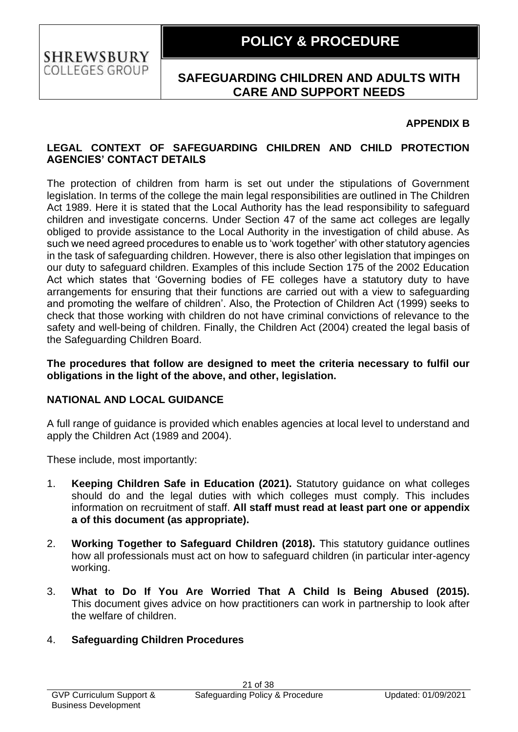#### **APPENDIX B**

### **LEGAL CONTEXT OF SAFEGUARDING CHILDREN AND CHILD PROTECTION AGENCIES' CONTACT DETAILS**

The protection of children from harm is set out under the stipulations of Government legislation. In terms of the college the main legal responsibilities are outlined in The Children Act 1989. Here it is stated that the Local Authority has the lead responsibility to safeguard children and investigate concerns. Under Section 47 of the same act colleges are legally obliged to provide assistance to the Local Authority in the investigation of child abuse. As such we need agreed procedures to enable us to 'work together' with other statutory agencies in the task of safeguarding children. However, there is also other legislation that impinges on our duty to safeguard children. Examples of this include Section 175 of the 2002 Education Act which states that 'Governing bodies of FE colleges have a statutory duty to have arrangements for ensuring that their functions are carried out with a view to safeguarding and promoting the welfare of children'. Also, the Protection of Children Act (1999) seeks to check that those working with children do not have criminal convictions of relevance to the safety and well-being of children. Finally, the Children Act (2004) created the legal basis of the Safeguarding Children Board.

**The procedures that follow are designed to meet the criteria necessary to fulfil our obligations in the light of the above, and other, legislation.**

#### **NATIONAL AND LOCAL GUIDANCE**

A full range of guidance is provided which enables agencies at local level to understand and apply the Children Act (1989 and 2004).

These include, most importantly:

**SHREWSBURY** COLLEGES GROUP

- 1. **Keeping Children Safe in Education (2021).** Statutory guidance on what colleges should do and the legal duties with which colleges must comply. This includes information on recruitment of staff. **All staff must read at least part one or appendix a of this document (as appropriate).**
- 2. **Working Together to Safeguard Children (2018).** This statutory guidance outlines how all professionals must act on how to safeguard children (in particular inter-agency working.
- 3. **What to Do If You Are Worried That A Child Is Being Abused (2015).** This document gives advice on how practitioners can work in partnership to look after the welfare of children.

#### 4. **Safeguarding Children Procedures**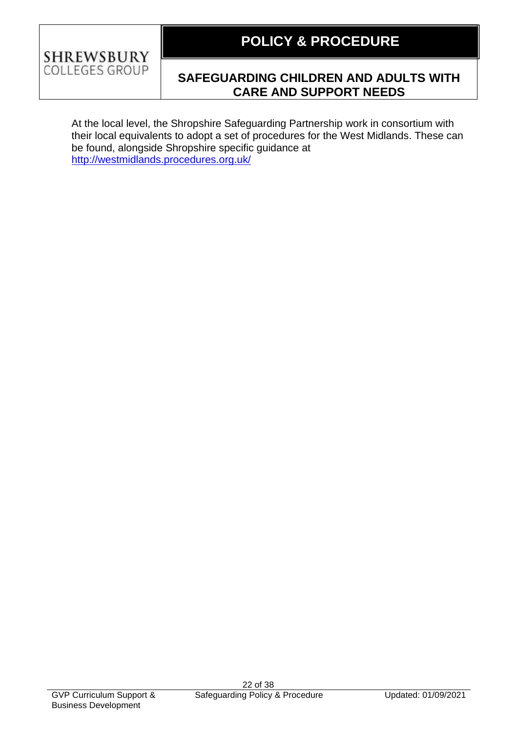

At the local level, the Shropshire Safeguarding Partnership work in consortium with their local equivalents to adopt a set of procedures for the West Midlands. These can be found, alongside Shropshire specific guidance at <http://westmidlands.procedures.org.uk/>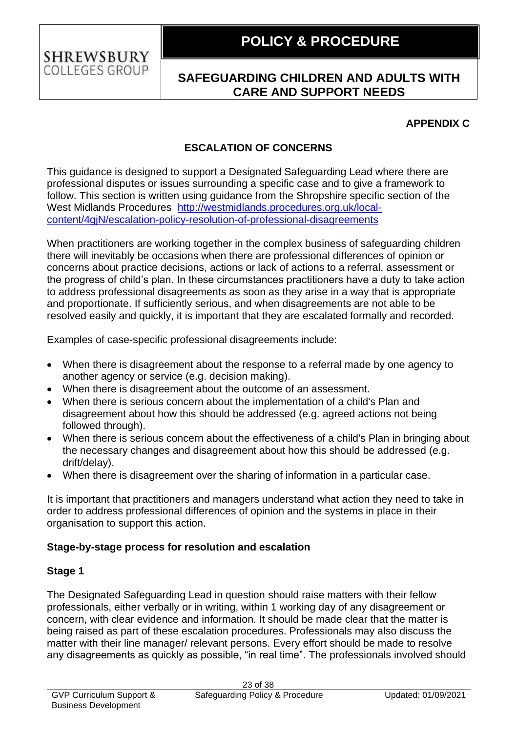

### **APPENDIX C**

### **ESCALATION OF CONCERNS**

This guidance is designed to support a Designated Safeguarding Lead where there are professional disputes or issues surrounding a specific case and to give a framework to follow. This section is written using guidance from the Shropshire specific section of the West Midlands Procedures [http://westmidlands.procedures.org.uk/local](http://westmidlands.procedures.org.uk/local-content/4gjN/escalation-policy-resolution-of-professional-disagreements)[content/4gjN/escalation-policy-resolution-of-professional-disagreements](http://westmidlands.procedures.org.uk/local-content/4gjN/escalation-policy-resolution-of-professional-disagreements)

When practitioners are working together in the complex business of safeguarding children there will inevitably be occasions when there are professional differences of opinion or concerns about practice decisions, actions or lack of actions to a referral, assessment or the progress of child's plan. In these circumstances practitioners have a duty to take action to address professional disagreements as soon as they arise in a way that is appropriate and proportionate. If sufficiently serious, and when disagreements are not able to be resolved easily and quickly, it is important that they are escalated formally and recorded.

Examples of case-specific professional disagreements include:

- When there is disagreement about the response to a referral made by one agency to another agency or service (e.g. decision making).
- When there is disagreement about the outcome of an assessment.
- When there is serious concern about the implementation of a child's Plan and disagreement about how this should be addressed (e.g. agreed actions not being followed through).
- When there is serious concern about the effectiveness of a child's Plan in bringing about the necessary changes and disagreement about how this should be addressed (e.g. drift/delay).
- When there is disagreement over the sharing of information in a particular case.

It is important that practitioners and managers understand what action they need to take in order to address professional differences of opinion and the systems in place in their organisation to support this action.

### **Stage-by-stage process for resolution and escalation**

#### **Stage 1**

The Designated Safeguarding Lead in question should raise matters with their fellow professionals, either verbally or in writing, within 1 working day of any disagreement or concern, with clear evidence and information. It should be made clear that the matter is being raised as part of these escalation procedures. Professionals may also discuss the matter with their line manager/ relevant persons. Every effort should be made to resolve any disagreements as quickly as possible, "in real time". The professionals involved should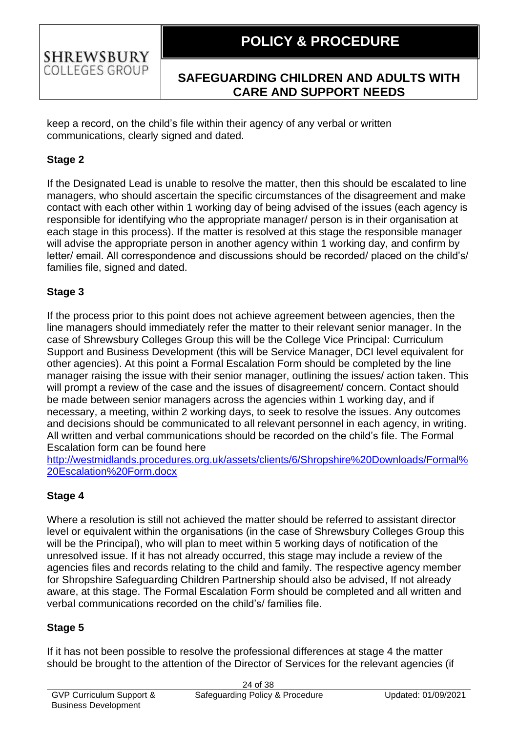keep a record, on the child's file within their agency of any verbal or written communications, clearly signed and dated.

### **Stage 2**

If the Designated Lead is unable to resolve the matter, then this should be escalated to line managers, who should ascertain the specific circumstances of the disagreement and make contact with each other within 1 working day of being advised of the issues (each agency is responsible for identifying who the appropriate manager/ person is in their organisation at each stage in this process). If the matter is resolved at this stage the responsible manager will advise the appropriate person in another agency within 1 working day, and confirm by letter/ email. All correspondence and discussions should be recorded/ placed on the child's/ families file, signed and dated.

### **Stage 3**

If the process prior to this point does not achieve agreement between agencies, then the line managers should immediately refer the matter to their relevant senior manager. In the case of Shrewsbury Colleges Group this will be the College Vice Principal: Curriculum Support and Business Development (this will be Service Manager, DCI level equivalent for other agencies). At this point a Formal Escalation Form should be completed by the line manager raising the issue with their senior manager, outlining the issues/ action taken. This will prompt a review of the case and the issues of disagreement/ concern. Contact should be made between senior managers across the agencies within 1 working day, and if necessary, a meeting, within 2 working days, to seek to resolve the issues. Any outcomes and decisions should be communicated to all relevant personnel in each agency, in writing. All written and verbal communications should be recorded on the child's file. The Formal Escalation form can be found here

[http://westmidlands.procedures.org.uk/assets/clients/6/Shropshire%20Downloads/Formal%](http://westmidlands.procedures.org.uk/assets/clients/6/Shropshire%20Downloads/Formal%20Escalation%20Form.docx) [20Escalation%20Form.docx](http://westmidlands.procedures.org.uk/assets/clients/6/Shropshire%20Downloads/Formal%20Escalation%20Form.docx)

### **Stage 4**

Where a resolution is still not achieved the matter should be referred to assistant director level or equivalent within the organisations (in the case of Shrewsbury Colleges Group this will be the Principal), who will plan to meet within 5 working days of notification of the unresolved issue. If it has not already occurred, this stage may include a review of the agencies files and records relating to the child and family. The respective agency member for Shropshire Safeguarding Children Partnership should also be advised, If not already aware, at this stage. The Formal Escalation Form should be completed and all written and verbal communications recorded on the child's/ families file.

### **Stage 5**

If it has not been possible to resolve the professional differences at stage 4 the matter should be brought to the attention of the Director of Services for the relevant agencies (if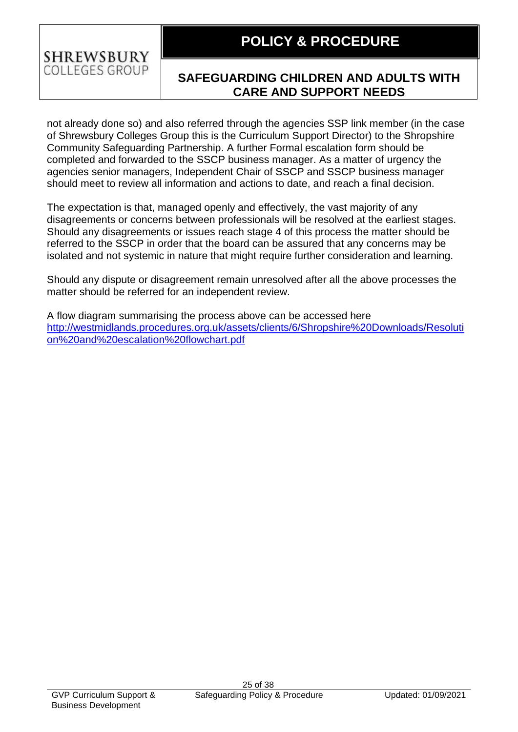not already done so) and also referred through the agencies SSP link member (in the case of Shrewsbury Colleges Group this is the Curriculum Support Director) to the Shropshire Community Safeguarding Partnership. A further Formal escalation form should be completed and forwarded to the SSCP business manager. As a matter of urgency the agencies senior managers, Independent Chair of SSCP and SSCP business manager should meet to review all information and actions to date, and reach a final decision.

The expectation is that, managed openly and effectively, the vast majority of any disagreements or concerns between professionals will be resolved at the earliest stages. Should any disagreements or issues reach stage 4 of this process the matter should be referred to the SSCP in order that the board can be assured that any concerns may be isolated and not systemic in nature that might require further consideration and learning.

Should any dispute or disagreement remain unresolved after all the above processes the matter should be referred for an independent review.

A flow diagram summarising the process above can be accessed here [http://westmidlands.procedures.org.uk/assets/clients/6/Shropshire%20Downloads/Resoluti](http://westmidlands.procedures.org.uk/assets/clients/6/Shropshire%20Downloads/Resolution%20and%20escalation%20flowchart.pdf) [on%20and%20escalation%20flowchart.pdf](http://westmidlands.procedures.org.uk/assets/clients/6/Shropshire%20Downloads/Resolution%20and%20escalation%20flowchart.pdf)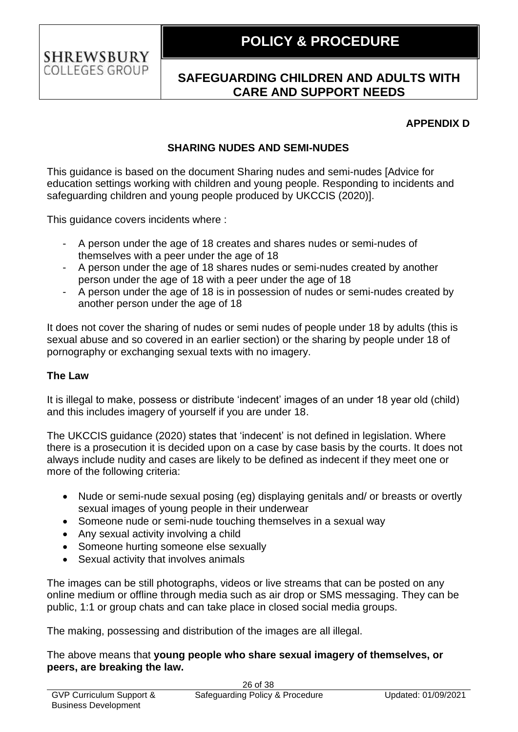### **APPENDIX D**

#### **SHARING NUDES AND SEMI-NUDES**

This guidance is based on the document Sharing nudes and semi-nudes [Advice for education settings working with children and young people. Responding to incidents and safeguarding children and young people produced by UKCCIS (2020)].

This guidance covers incidents where :

**SHREWSBURY** COLLEGES GROUP

- A person under the age of 18 creates and shares nudes or semi-nudes of themselves with a peer under the age of 18
- A person under the age of 18 shares nudes or semi-nudes created by another person under the age of 18 with a peer under the age of 18
- A person under the age of 18 is in possession of nudes or semi-nudes created by another person under the age of 18

It does not cover the sharing of nudes or semi nudes of people under 18 by adults (this is sexual abuse and so covered in an earlier section) or the sharing by people under 18 of pornography or exchanging sexual texts with no imagery.

#### **The Law**

It is illegal to make, possess or distribute 'indecent' images of an under 18 year old (child) and this includes imagery of yourself if you are under 18.

The UKCCIS guidance (2020) states that 'indecent' is not defined in legislation. Where there is a prosecution it is decided upon on a case by case basis by the courts. It does not always include nudity and cases are likely to be defined as indecent if they meet one or more of the following criteria:

- Nude or semi-nude sexual posing (eg) displaying genitals and/ or breasts or overtly sexual images of young people in their underwear
- Someone nude or semi-nude touching themselves in a sexual way
- Any sexual activity involving a child
- Someone hurting someone else sexually
- Sexual activity that involves animals

The images can be still photographs, videos or live streams that can be posted on any online medium or offline through media such as air drop or SMS messaging. They can be public, 1:1 or group chats and can take place in closed social media groups.

The making, possessing and distribution of the images are all illegal.

The above means that **young people who share sexual imagery of themselves, or peers, are breaking the law.**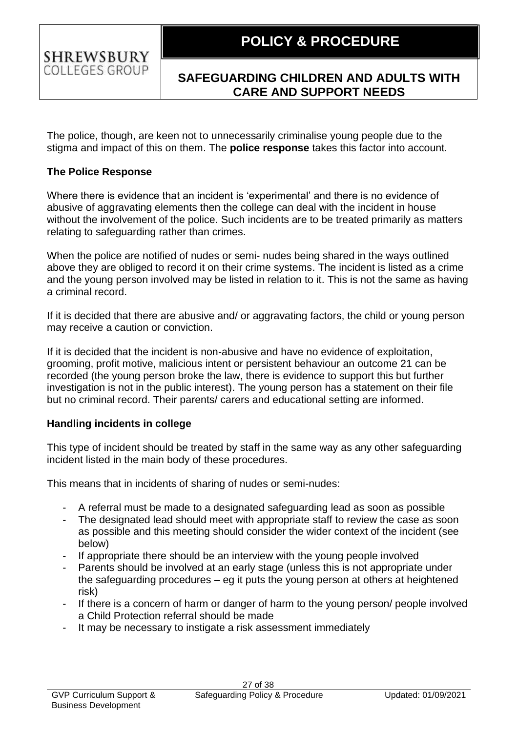The police, though, are keen not to unnecessarily criminalise young people due to the stigma and impact of this on them. The **police response** takes this factor into account.

#### **The Police Response**

**SHREWSBURY** COLLEGES GROUP

Where there is evidence that an incident is 'experimental' and there is no evidence of abusive of aggravating elements then the college can deal with the incident in house without the involvement of the police. Such incidents are to be treated primarily as matters relating to safeguarding rather than crimes.

When the police are notified of nudes or semi- nudes being shared in the ways outlined above they are obliged to record it on their crime systems. The incident is listed as a crime and the young person involved may be listed in relation to it. This is not the same as having a criminal record.

If it is decided that there are abusive and/ or aggravating factors, the child or young person may receive a caution or conviction.

If it is decided that the incident is non-abusive and have no evidence of exploitation, grooming, profit motive, malicious intent or persistent behaviour an outcome 21 can be recorded (the young person broke the law, there is evidence to support this but further investigation is not in the public interest). The young person has a statement on their file but no criminal record. Their parents/ carers and educational setting are informed.

### **Handling incidents in college**

This type of incident should be treated by staff in the same way as any other safeguarding incident listed in the main body of these procedures.

This means that in incidents of sharing of nudes or semi-nudes:

- A referral must be made to a designated safeguarding lead as soon as possible
- The designated lead should meet with appropriate staff to review the case as soon as possible and this meeting should consider the wider context of the incident (see below)
- If appropriate there should be an interview with the young people involved
- Parents should be involved at an early stage (unless this is not appropriate under the safeguarding procedures – eg it puts the young person at others at heightened risk)
- If there is a concern of harm or danger of harm to the young person/ people involved a Child Protection referral should be made
- It may be necessary to instigate a risk assessment immediately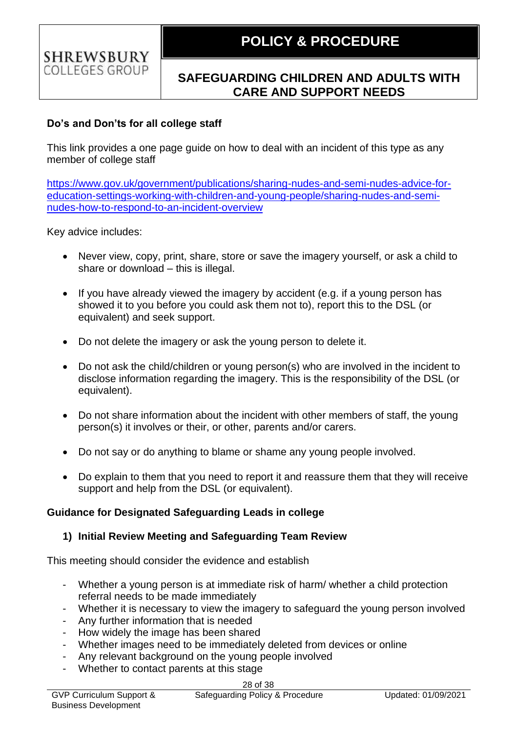### **Do's and Don'ts for all college staff**

This link provides a one page guide on how to deal with an incident of this type as any member of college staff

[https://www.gov.uk/government/publications/sharing-nudes-and-semi-nudes-advice-for](https://www.gov.uk/government/publications/sharing-nudes-and-semi-nudes-advice-for-education-settings-working-with-children-and-young-people/sharing-nudes-and-semi-nudes-how-to-respond-to-an-incident-overview)[education-settings-working-with-children-and-young-people/sharing-nudes-and-semi](https://www.gov.uk/government/publications/sharing-nudes-and-semi-nudes-advice-for-education-settings-working-with-children-and-young-people/sharing-nudes-and-semi-nudes-how-to-respond-to-an-incident-overview)[nudes-how-to-respond-to-an-incident-overview](https://www.gov.uk/government/publications/sharing-nudes-and-semi-nudes-advice-for-education-settings-working-with-children-and-young-people/sharing-nudes-and-semi-nudes-how-to-respond-to-an-incident-overview)

Key advice includes:

**SHREWSBURY** COLLEGES GROUP

- Never view, copy, print, share, store or save the imagery yourself, or ask a child to share or download – this is illegal.
- If you have already viewed the imagery by accident (e.g. if a young person has showed it to you before you could ask them not to), report this to the DSL (or equivalent) and seek support.
- Do not delete the imagery or ask the young person to delete it.
- Do not ask the child/children or young person(s) who are involved in the incident to disclose information regarding the imagery. This is the responsibility of the DSL (or equivalent).
- Do not share information about the incident with other members of staff, the young person(s) it involves or their, or other, parents and/or carers.
- Do not say or do anything to blame or shame any young people involved.
- Do explain to them that you need to report it and reassure them that they will receive support and help from the DSL (or equivalent).

#### **Guidance for Designated Safeguarding Leads in college**

#### **1) Initial Review Meeting and Safeguarding Team Review**

This meeting should consider the evidence and establish

- Whether a young person is at immediate risk of harm/ whether a child protection referral needs to be made immediately
- Whether it is necessary to view the imagery to safeguard the young person involved
- Any further information that is needed
- How widely the image has been shared
- Whether images need to be immediately deleted from devices or online
- Any relevant background on the young people involved
- Whether to contact parents at this stage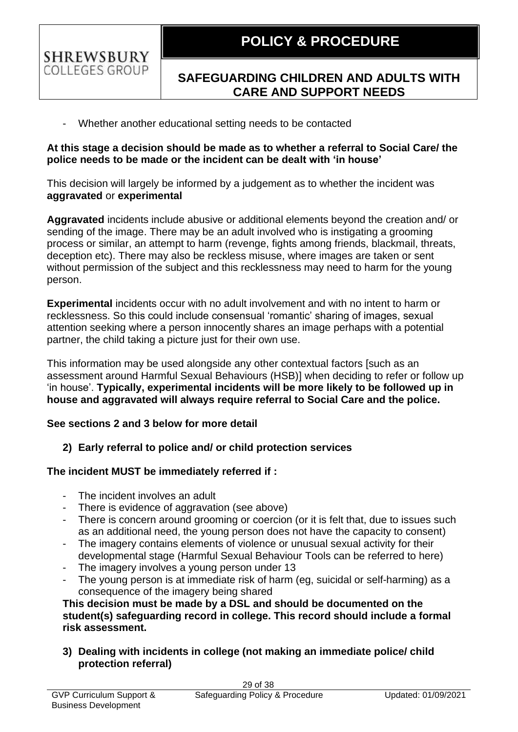- Whether another educational setting needs to be contacted

**SHREWSBURY** COLLEGES GROUP

#### **At this stage a decision should be made as to whether a referral to Social Care/ the police needs to be made or the incident can be dealt with 'in house'**

This decision will largely be informed by a judgement as to whether the incident was **aggravated** or **experimental**

**Aggravated** incidents include abusive or additional elements beyond the creation and/ or sending of the image. There may be an adult involved who is instigating a grooming process or similar, an attempt to harm (revenge, fights among friends, blackmail, threats, deception etc). There may also be reckless misuse, where images are taken or sent without permission of the subject and this recklessness may need to harm for the young person.

**Experimental** incidents occur with no adult involvement and with no intent to harm or recklessness. So this could include consensual 'romantic' sharing of images, sexual attention seeking where a person innocently shares an image perhaps with a potential partner, the child taking a picture just for their own use.

This information may be used alongside any other contextual factors [such as an assessment around Harmful Sexual Behaviours (HSB)] when deciding to refer or follow up 'in house'. **Typically, experimental incidents will be more likely to be followed up in house and aggravated will always require referral to Social Care and the police.** 

### **See sections 2 and 3 below for more detail**

### **2) Early referral to police and/ or child protection services**

#### **The incident MUST be immediately referred if :**

- The incident involves an adult
- There is evidence of aggravation (see above)
- There is concern around grooming or coercion (or it is felt that, due to issues such as an additional need, the young person does not have the capacity to consent)
- The imagery contains elements of violence or unusual sexual activity for their developmental stage (Harmful Sexual Behaviour Tools can be referred to here)
- The imagery involves a young person under 13
- The young person is at immediate risk of harm (eg, suicidal or self-harming) as a consequence of the imagery being shared

**This decision must be made by a DSL and should be documented on the student(s) safeguarding record in college. This record should include a formal risk assessment.**

**3) Dealing with incidents in college (not making an immediate police/ child protection referral)**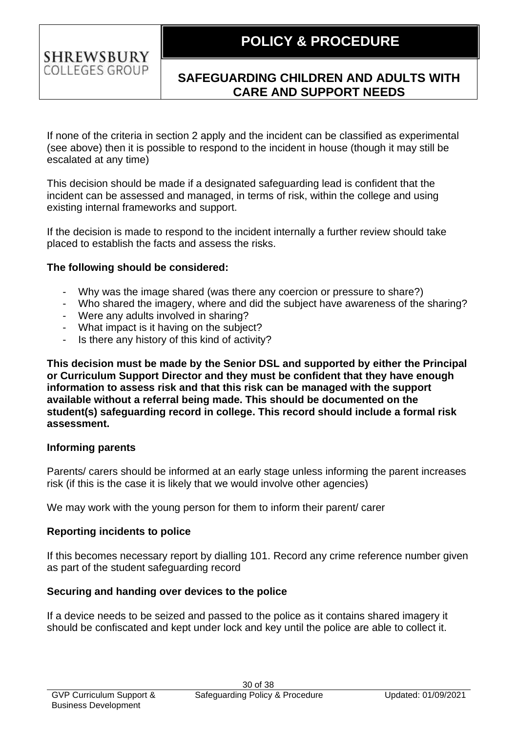If none of the criteria in section 2 apply and the incident can be classified as experimental (see above) then it is possible to respond to the incident in house (though it may still be escalated at any time)

This decision should be made if a designated safeguarding lead is confident that the incident can be assessed and managed, in terms of risk, within the college and using existing internal frameworks and support.

If the decision is made to respond to the incident internally a further review should take placed to establish the facts and assess the risks.

#### **The following should be considered:**

- Why was the image shared (was there any coercion or pressure to share?)
- Who shared the imagery, where and did the subject have awareness of the sharing?
- Were any adults involved in sharing?
- What impact is it having on the subject?
- Is there any history of this kind of activity?

**This decision must be made by the Senior DSL and supported by either the Principal or Curriculum Support Director and they must be confident that they have enough information to assess risk and that this risk can be managed with the support available without a referral being made. This should be documented on the student(s) safeguarding record in college. This record should include a formal risk assessment.**

#### **Informing parents**

**SHREWSBURY** COLLEGES GROUP

Parents/ carers should be informed at an early stage unless informing the parent increases risk (if this is the case it is likely that we would involve other agencies)

We may work with the young person for them to inform their parent/ carer

### **Reporting incidents to police**

If this becomes necessary report by dialling 101. Record any crime reference number given as part of the student safeguarding record

### **Securing and handing over devices to the police**

If a device needs to be seized and passed to the police as it contains shared imagery it should be confiscated and kept under lock and key until the police are able to collect it.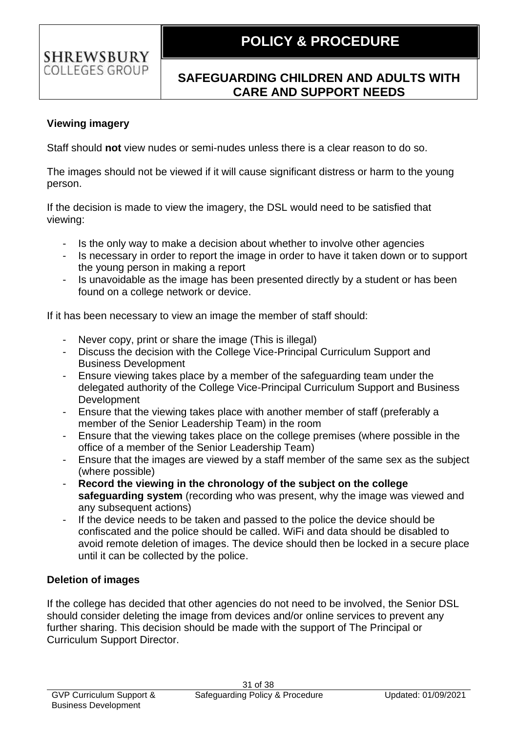### **Viewing imagery**

**SHREWSBURY** COLLEGES GROUP

Staff should **not** view nudes or semi-nudes unless there is a clear reason to do so.

The images should not be viewed if it will cause significant distress or harm to the young person.

If the decision is made to view the imagery, the DSL would need to be satisfied that viewing:

- Is the only way to make a decision about whether to involve other agencies
- Is necessary in order to report the image in order to have it taken down or to support the young person in making a report
- Is unavoidable as the image has been presented directly by a student or has been found on a college network or device.

If it has been necessary to view an image the member of staff should:

- Never copy, print or share the image (This is illegal)
- Discuss the decision with the College Vice-Principal Curriculum Support and Business Development
- Ensure viewing takes place by a member of the safeguarding team under the delegated authority of the College Vice-Principal Curriculum Support and Business Development
- Ensure that the viewing takes place with another member of staff (preferably a member of the Senior Leadership Team) in the room
- Ensure that the viewing takes place on the college premises (where possible in the office of a member of the Senior Leadership Team)
- Ensure that the images are viewed by a staff member of the same sex as the subject (where possible)
- **Record the viewing in the chronology of the subject on the college safeguarding system** (recording who was present, why the image was viewed and any subsequent actions)
- If the device needs to be taken and passed to the police the device should be confiscated and the police should be called. WiFi and data should be disabled to avoid remote deletion of images. The device should then be locked in a secure place until it can be collected by the police.

### **Deletion of images**

If the college has decided that other agencies do not need to be involved, the Senior DSL should consider deleting the image from devices and/or online services to prevent any further sharing. This decision should be made with the support of The Principal or Curriculum Support Director.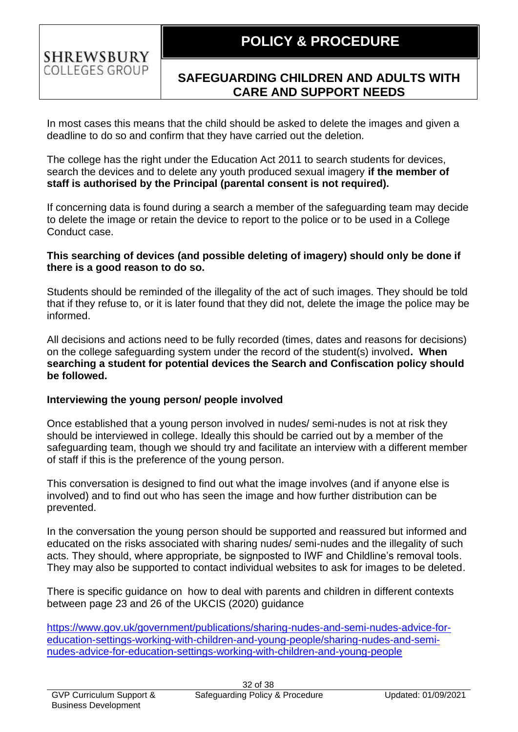In most cases this means that the child should be asked to delete the images and given a deadline to do so and confirm that they have carried out the deletion.

The college has the right under the Education Act 2011 to search students for devices, search the devices and to delete any youth produced sexual imagery **if the member of staff is authorised by the Principal (parental consent is not required).**

If concerning data is found during a search a member of the safeguarding team may decide to delete the image or retain the device to report to the police or to be used in a College Conduct case.

#### **This searching of devices (and possible deleting of imagery) should only be done if there is a good reason to do so.**

Students should be reminded of the illegality of the act of such images. They should be told that if they refuse to, or it is later found that they did not, delete the image the police may be informed.

All decisions and actions need to be fully recorded (times, dates and reasons for decisions) on the college safeguarding system under the record of the student(s) involved**. When searching a student for potential devices the Search and Confiscation policy should be followed.**

#### **Interviewing the young person/ people involved**

Once established that a young person involved in nudes/ semi-nudes is not at risk they should be interviewed in college. Ideally this should be carried out by a member of the safeguarding team, though we should try and facilitate an interview with a different member of staff if this is the preference of the young person.

This conversation is designed to find out what the image involves (and if anyone else is involved) and to find out who has seen the image and how further distribution can be prevented.

In the conversation the young person should be supported and reassured but informed and educated on the risks associated with sharing nudes/ semi-nudes and the illegality of such acts. They should, where appropriate, be signposted to IWF and Childline's removal tools. They may also be supported to contact individual websites to ask for images to be deleted.

There is specific guidance on how to deal with parents and children in different contexts between page 23 and 26 of the UKCIS (2020) guidance

[https://www.gov.uk/government/publications/sharing-nudes-and-semi-nudes-advice-for](https://www.gov.uk/government/publications/sharing-nudes-and-semi-nudes-advice-for-education-settings-working-with-children-and-young-people/sharing-nudes-and-semi-nudes-advice-for-education-settings-working-with-children-and-young-people)[education-settings-working-with-children-and-young-people/sharing-nudes-and-semi](https://www.gov.uk/government/publications/sharing-nudes-and-semi-nudes-advice-for-education-settings-working-with-children-and-young-people/sharing-nudes-and-semi-nudes-advice-for-education-settings-working-with-children-and-young-people)[nudes-advice-for-education-settings-working-with-children-and-young-people](https://www.gov.uk/government/publications/sharing-nudes-and-semi-nudes-advice-for-education-settings-working-with-children-and-young-people/sharing-nudes-and-semi-nudes-advice-for-education-settings-working-with-children-and-young-people)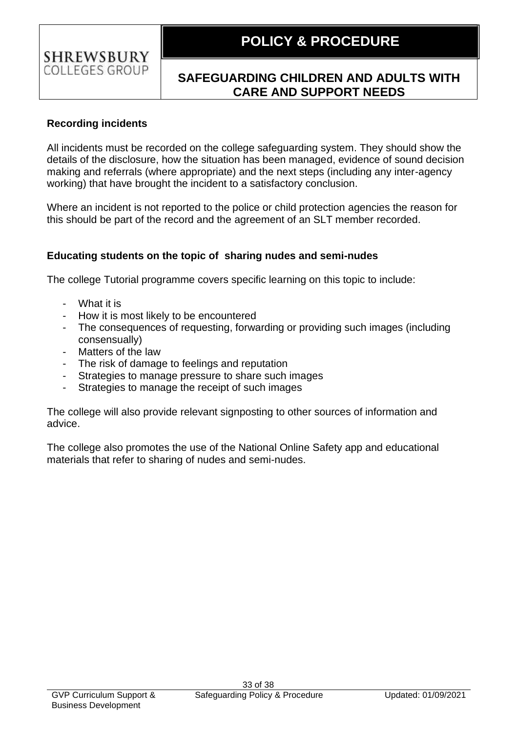#### **Recording incidents**

**SHREWSBURY** COLLEGES GROUP

All incidents must be recorded on the college safeguarding system. They should show the details of the disclosure, how the situation has been managed, evidence of sound decision making and referrals (where appropriate) and the next steps (including any inter-agency working) that have brought the incident to a satisfactory conclusion.

Where an incident is not reported to the police or child protection agencies the reason for this should be part of the record and the agreement of an SLT member recorded.

#### **Educating students on the topic of sharing nudes and semi-nudes**

The college Tutorial programme covers specific learning on this topic to include:

- What it is
- How it is most likely to be encountered
- The consequences of requesting, forwarding or providing such images (including consensually)
- Matters of the law
- The risk of damage to feelings and reputation
- Strategies to manage pressure to share such images
- Strategies to manage the receipt of such images

The college will also provide relevant signposting to other sources of information and advice.

The college also promotes the use of the National Online Safety app and educational materials that refer to sharing of nudes and semi-nudes.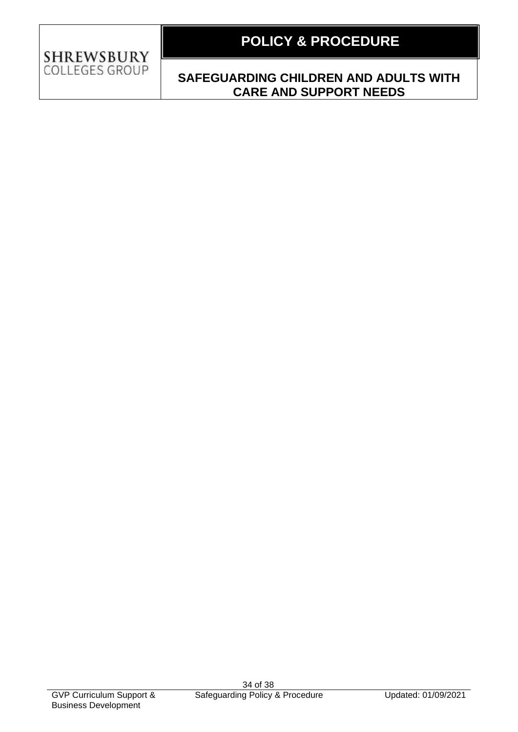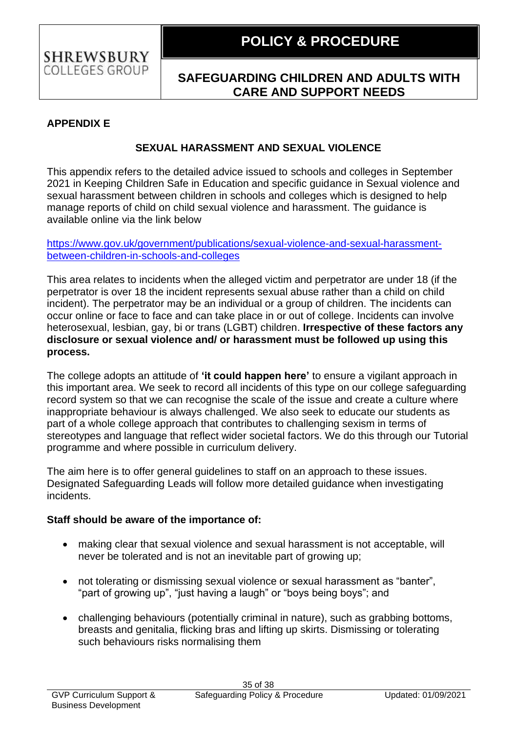

#### **APPENDIX E**

### **SEXUAL HARASSMENT AND SEXUAL VIOLENCE**

This appendix refers to the detailed advice issued to schools and colleges in September 2021 in Keeping Children Safe in Education and specific guidance in Sexual violence and sexual harassment between children in schools and colleges which is designed to help manage reports of child on child sexual violence and harassment. The guidance is available online via the link below

#### [https://www.gov.uk/government/publications/sexual-violence-and-sexual-harassment](https://www.gov.uk/government/publications/sexual-violence-and-sexual-harassment-between-children-in-schools-and-colleges)[between-children-in-schools-and-colleges](https://www.gov.uk/government/publications/sexual-violence-and-sexual-harassment-between-children-in-schools-and-colleges)

This area relates to incidents when the alleged victim and perpetrator are under 18 (if the perpetrator is over 18 the incident represents sexual abuse rather than a child on child incident). The perpetrator may be an individual or a group of children. The incidents can occur online or face to face and can take place in or out of college. Incidents can involve heterosexual, lesbian, gay, bi or trans (LGBT) children. **Irrespective of these factors any disclosure or sexual violence and/ or harassment must be followed up using this process.** 

The college adopts an attitude of **'it could happen here'** to ensure a vigilant approach in this important area. We seek to record all incidents of this type on our college safeguarding record system so that we can recognise the scale of the issue and create a culture where inappropriate behaviour is always challenged. We also seek to educate our students as part of a whole college approach that contributes to challenging sexism in terms of stereotypes and language that reflect wider societal factors. We do this through our Tutorial programme and where possible in curriculum delivery.

The aim here is to offer general guidelines to staff on an approach to these issues. Designated Safeguarding Leads will follow more detailed guidance when investigating incidents.

#### **Staff should be aware of the importance of:**

- making clear that sexual violence and sexual harassment is not acceptable, will never be tolerated and is not an inevitable part of growing up;
- not tolerating or dismissing sexual violence or sexual harassment as "banter", "part of growing up", "just having a laugh" or "boys being boys"; and
- challenging behaviours (potentially criminal in nature), such as grabbing bottoms, breasts and genitalia, flicking bras and lifting up skirts. Dismissing or tolerating such behaviours risks normalising them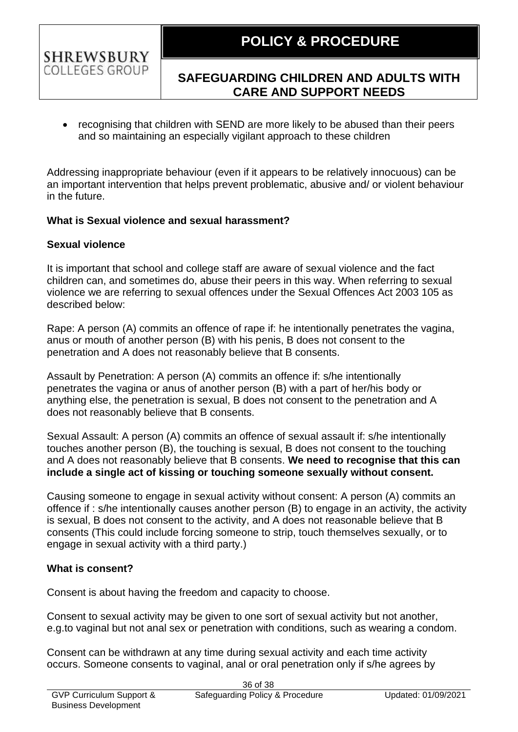• recognising that children with SEND are more likely to be abused than their peers and so maintaining an especially vigilant approach to these children

Addressing inappropriate behaviour (even if it appears to be relatively innocuous) can be an important intervention that helps prevent problematic, abusive and/ or violent behaviour in the future.

#### **What is Sexual violence and sexual harassment?**

### **Sexual violence**

**SHREWSBURY** COLLEGES GROUP

It is important that school and college staff are aware of sexual violence and the fact children can, and sometimes do, abuse their peers in this way. When referring to sexual violence we are referring to sexual offences under the Sexual Offences Act 2003 105 as described below:

Rape: A person (A) commits an offence of rape if: he intentionally penetrates the vagina, anus or mouth of another person (B) with his penis, B does not consent to the penetration and A does not reasonably believe that B consents.

Assault by Penetration: A person (A) commits an offence if: s/he intentionally penetrates the vagina or anus of another person (B) with a part of her/his body or anything else, the penetration is sexual, B does not consent to the penetration and A does not reasonably believe that B consents.

Sexual Assault: A person (A) commits an offence of sexual assault if: s/he intentionally touches another person (B), the touching is sexual, B does not consent to the touching and A does not reasonably believe that B consents. **We need to recognise that this can include a single act of kissing or touching someone sexually without consent.**

Causing someone to engage in sexual activity without consent: A person (A) commits an offence if : s/he intentionally causes another person (B) to engage in an activity, the activity is sexual, B does not consent to the activity, and A does not reasonable believe that B consents (This could include forcing someone to strip, touch themselves sexually, or to engage in sexual activity with a third party.)

#### **What is consent?**

Consent is about having the freedom and capacity to choose.

Consent to sexual activity may be given to one sort of sexual activity but not another, e.g.to vaginal but not anal sex or penetration with conditions, such as wearing a condom.

Consent can be withdrawn at any time during sexual activity and each time activity occurs. Someone consents to vaginal, anal or oral penetration only if s/he agrees by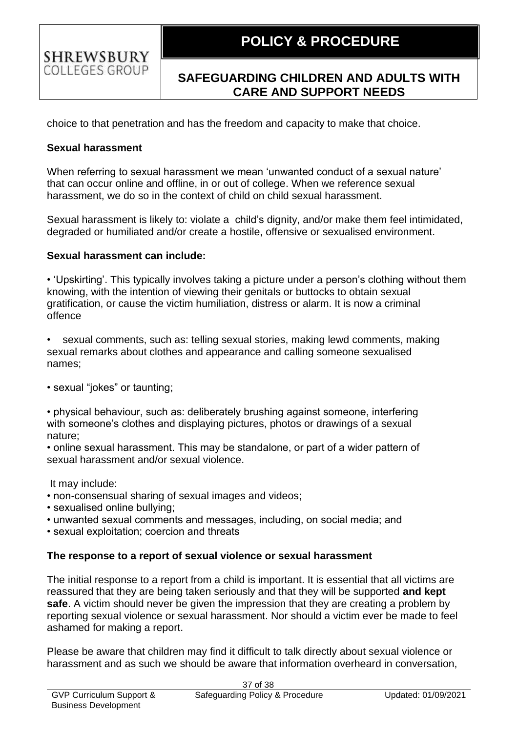choice to that penetration and has the freedom and capacity to make that choice.

#### **Sexual harassment**

**SHREWSBURY** COLLEGES GROUP

When referring to sexual harassment we mean 'unwanted conduct of a sexual nature' that can occur online and offline, in or out of college. When we reference sexual harassment, we do so in the context of child on child sexual harassment.

Sexual harassment is likely to: violate a child's dignity, and/or make them feel intimidated, degraded or humiliated and/or create a hostile, offensive or sexualised environment.

#### **Sexual harassment can include:**

• 'Upskirting'. This typically involves taking a picture under a person's clothing without them knowing, with the intention of viewing their genitals or buttocks to obtain sexual gratification, or cause the victim humiliation, distress or alarm. It is now a criminal offence

sexual comments, such as: telling sexual stories, making lewd comments, making sexual remarks about clothes and appearance and calling someone sexualised names;

• sexual "jokes" or taunting;

• physical behaviour, such as: deliberately brushing against someone, interfering with someone's clothes and displaying pictures, photos or drawings of a sexual nature;

• online sexual harassment. This may be standalone, or part of a wider pattern of sexual harassment and/or sexual violence.

It may include:

- non-consensual sharing of sexual images and videos;
- sexualised online bullying;
- unwanted sexual comments and messages, including, on social media; and
- sexual exploitation; coercion and threats

### **The response to a report of sexual violence or sexual harassment**

The initial response to a report from a child is important. It is essential that all victims are reassured that they are being taken seriously and that they will be supported **and kept safe**. A victim should never be given the impression that they are creating a problem by reporting sexual violence or sexual harassment. Nor should a victim ever be made to feel ashamed for making a report.

Please be aware that children may find it difficult to talk directly about sexual violence or harassment and as such we should be aware that information overheard in conversation,